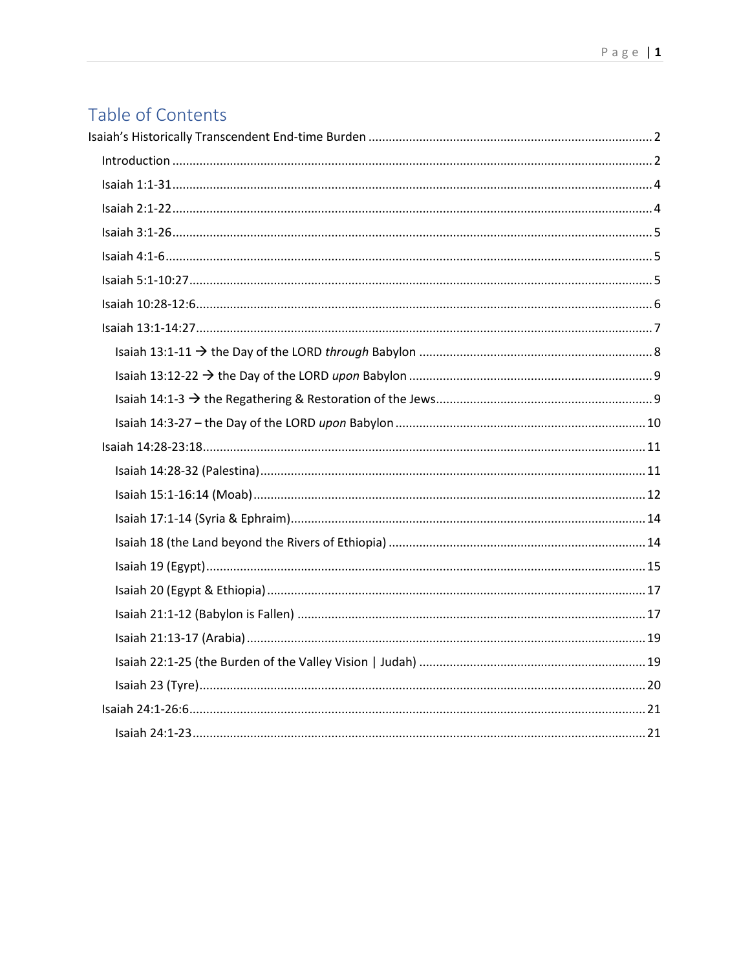# Table of Contents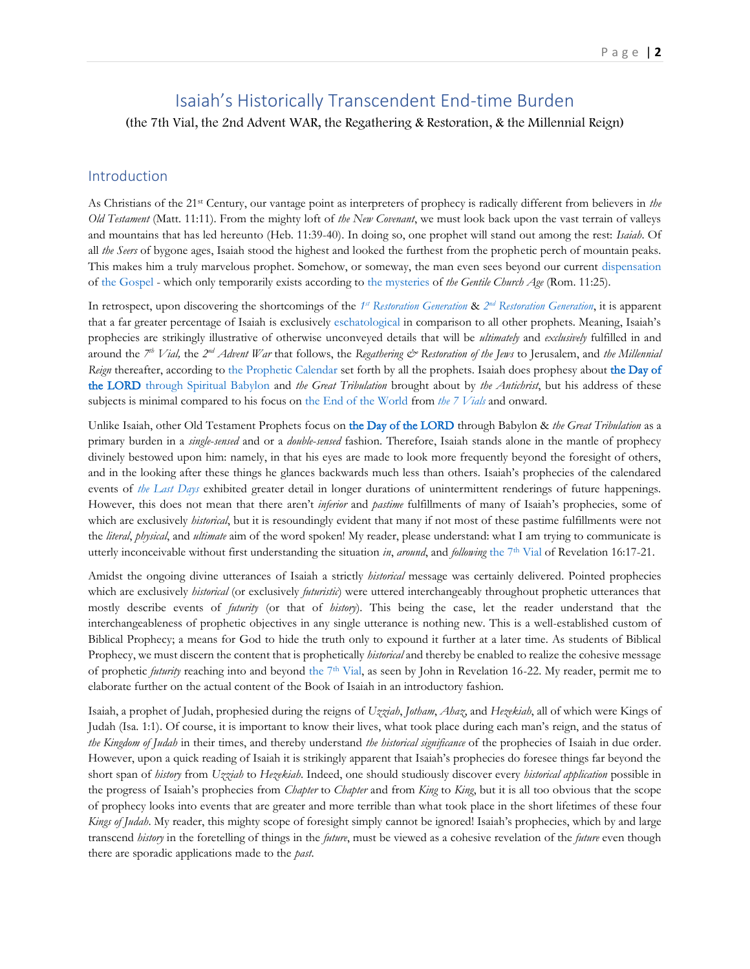## Isaiah's Historically Transcendent End-time Burden

<span id="page-1-0"></span>(the 7th Vial, the 2nd Advent WAR, the Regathering & Restoration, & the Millennial Reign)

## <span id="page-1-1"></span>Introduction

As Christians of the 21st Century, our vantage point as interpreters of prophecy is radically different from believers in *the Old Testament* (Matt. 11:11). From the mighty loft of *the New Covenant*, we must look back upon the vast terrain of valleys and mountains that has led hereunto (Heb. 11:39-40). In doing so, one prophet will stand out among the rest: *Isaiah*. Of all *the Seers* of bygone ages, Isaiah stood the highest and looked the furthest from the prophetic perch of mountain peaks. This makes him a truly marvelous prophet. Somehow, or someway, the man even sees beyond our current [dispensation](http://www.putoffthyshoes.com/the-last-days/the-gospel-of-david-gt-the-gospel-of-isaiah-gt-the-everlasting-gospel-rev-146) of [the Gospel](http://www.putoffthyshoes.com/the-last-days/the-gospel-of-david-gt-the-gospel-of-isaiah-gt-the-everlasting-gospel-rev-146) - which only temporarily exists according to [the mysteries](https://www.therevelationofjesuschrist.org/books/warranting-n-t-apostolic-explanation/seemingly-exclusive-to-the-2nd-advent-albeit-partially-foretelling-the-1st-advent) of *the Gentile Church Age* (Rom. 11:25).

In retrospect, upon discovering the shortcomings of the  $1<sup>st</sup>$  *[Restoration Generation](https://www.therevelationofjesuschrist.org/books/a-commentary-on-the-book-of-revelation/introduction/the-doctrine-of-the-last-days#_The_2nd_Restoration_1)* &  $2<sup>nd</sup>$  *Restoration Generation*, it is apparent that a far greater percentage of Isaiah is exclusively [eschatological](https://www.therevelationofjesuschrist.org/books/a-commentary-on-the-book-of-revelation/introduction/the-doctrine-of-the-last-days) in comparison to all other prophets. Meaning, Isaiah's prophecies are strikingly illustrative of otherwise unconveyed details that will be *ultimately* and *exclusively* fulfilled in and around the <sup>7th</sup> Vial, the 2<sup>nd</sup> Advent War that follows, the Regathering & Restoration of the Jews to Jerusalem, and the Millennial *Reign* thereafter, according to [the Prophetic](https://www.therevelationofjesuschrist.org/books/a-commentary-on-the-book-of-revelation/revelation-11-15-19-14-6-16-21-18-1-20-6/introducing-the-end-75-days-of-great-terrible-glory) Calendar set forth by all the prophets. Isaiah does prophesy about the Day of [the LORD through Spiritual Babylon](https://www.therevelationofjesuschrist.org/books/a-commentary-on-the-book-of-revelation/revelation-7-9/introducing-babylon) and *the Great Tribulation* brought about by *the Antichrist*, but his address of these subjects is minimal compared to his focus on [the End of the World](http://www.putoffthyshoes.com/the-last-days/judgment-day-the-hour-of-his-judgment-is-come-rev-147) from *[the 7 Vials](https://www.therevelationofjesuschrist.org/books/a-commentary-on-the-book-of-revelation/revelation-11-15-19-14-6-16-21-18-1-20-6/the-shaking-7th-vial)* and onward.

Unlike Isaiah, other Old Testament Prophets focus on [the Day of the LORD](http://www.putoffthyshoes.com/the-last-days/the-day-of-the-lord) through Babylon & *the Great Tribulation* as a primary burden in a *single*-*sensed* and or a *double*-*sensed* fashion. Therefore, Isaiah stands alone in the mantle of prophecy divinely bestowed upon him: namely, in that his eyes are made to look more frequently beyond the foresight of others, and in the looking after these things he glances backwards much less than others. Isaiah's prophecies of the calendared events of *[the Last Days](https://www.therevelationofjesuschrist.org/books/a-commentary-on-the-book-of-revelation/introduction/the-doctrine-of-the-last-days)* exhibited greater detail in longer durations of unintermittent renderings of future happenings. However, this does not mean that there aren't *inferior* and *pastime* fulfillments of many of Isaiah's prophecies, some of which are exclusively *historical*, but it is resoundingly evident that many if not most of these pastime fulfillments were not the *literal*, *physical*, and *ultimate* aim of the word spoken! My reader, please understand: what I am trying to communicate is utterly inconceivable without first understanding the situation *in, around*, and *following* [the 7](https://www.therevelationofjesuschrist.org/books/a-commentary-on-the-book-of-revelation/revelation-11-15-19-14-6-16-21-18-1-20-6/the-shaking-7th-vial)<sup>th</sup> Vial of Revelation 16:17-21.

Amidst the ongoing divine utterances of Isaiah a strictly *historical* message was certainly delivered. Pointed prophecies which are exclusively *historical* (or exclusively *futuristic*) were uttered interchangeably throughout prophetic utterances that mostly describe events of *futurity* (or that of *history*). This being the case, let the reader understand that the interchangeableness of prophetic objectives in any single utterance is nothing new. This is a well-established custom of Biblical Prophecy; a means for God to hide the truth only to expound it further at a later time. As students of Biblical Prophecy, we must discern the content that is prophetically *historical* and thereby be enabled to realize the cohesive message of prophetic *futurity* reaching into and beyond [the 7](https://www.therevelationofjesuschrist.org/books/a-commentary-on-the-book-of-revelation/revelation-11-15-19-14-6-16-21-18-1-20-6/the-shaking-7th-vial)th Vial, as seen by John in Revelation 16-22. My reader, permit me to elaborate further on the actual content of the Book of Isaiah in an introductory fashion.

Isaiah, a prophet of Judah, prophesied during the reigns of *Uzziah*, *Jotham*, *Ahaz*, and *Hezekiah*, all of which were Kings of Judah (Isa. 1:1). Of course, it is important to know their lives, what took place during each man's reign, and the status of *the Kingdom of Judah* in their times, and thereby understand *the historical significance* of the prophecies of Isaiah in due order. However, upon a quick reading of Isaiah it is strikingly apparent that Isaiah's prophecies do foresee things far beyond the short span of *history* from *Uzziah* to *Hezekiah*. Indeed, one should studiously discover every *historical application* possible in the progress of Isaiah's prophecies from *Chapter* to *Chapter* and from *King* to *King*, but it is all too obvious that the scope of prophecy looks into events that are greater and more terrible than what took place in the short lifetimes of these four *Kings of Judah*. My reader, this mighty scope of foresight simply cannot be ignored! Isaiah's prophecies, which by and large transcend *history* in the foretelling of things in the *future*, must be viewed as a cohesive revelation of the *future* even though there are sporadic applications made to the *past*.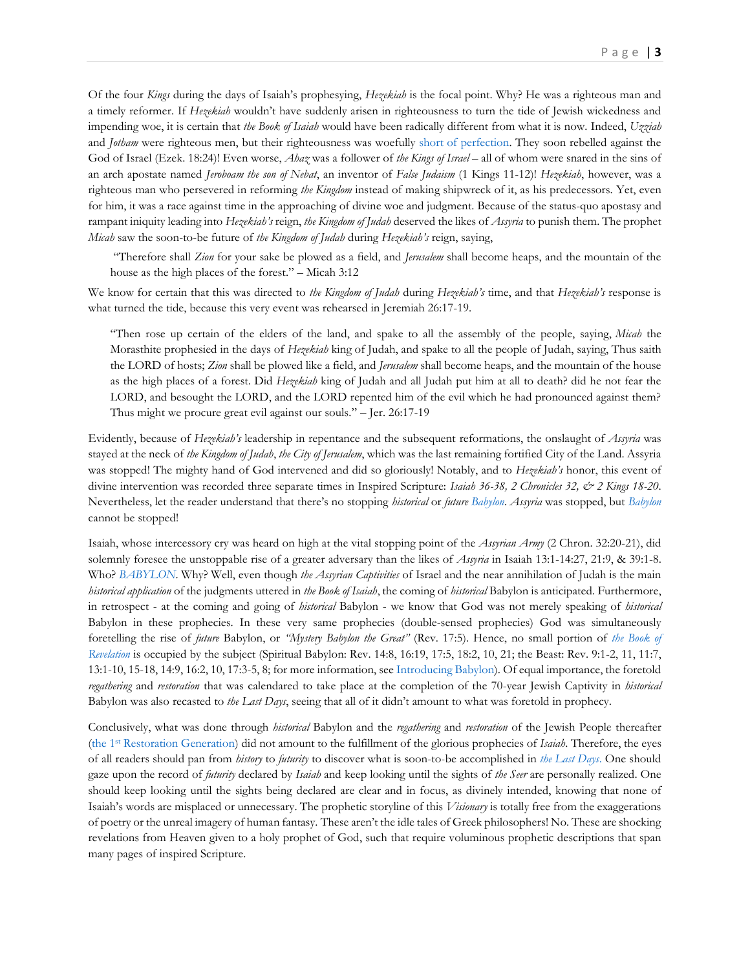Of the four *Kings* during the days of Isaiah's prophesying, *Hezekiah* is the focal point. Why? He was a righteous man and a timely reformer. If *Hezekiah* wouldn't have suddenly arisen in righteousness to turn the tide of Jewish wickedness and impending woe, it is certain that *the Book of Isaiah* would have been radically different from what it is now. Indeed, *Uzziah* and *Jotham* were righteous men, but their righteousness was woefully [short of perfection.](https://www.therevelationofjesuschrist.org/books/a-commentary-on-the-book-of-ezekiel/ezekiel-18-1-32/vindicating-the-scriptural-emphasis-of-guilt) They soon rebelled against the God of Israel (Ezek. 18:24)! Even worse, *Ahaz* was a follower of *the Kings of Israel* – all of whom were snared in the sins of an arch apostate named *Jeroboam the son of Nebat*, an inventor of *False Judaism* (1 Kings 11-12)! *Hezekiah*, however, was a righteous man who persevered in reforming *the Kingdom* instead of making shipwreck of it, as his predecessors. Yet, even for him, it was a race against time in the approaching of divine woe and judgment. Because of the status-quo apostasy and rampant iniquity leading into *Hezekiah's* reign, *the Kingdom of Judah* deserved the likes of *Assyria* to punish them. The prophet *Micah* saw the soon-to-be future of *the Kingdom of Judah* during *Hezekiah's* reign, saying,

"Therefore shall *Zion* for your sake be plowed as a field, and *Jerusalem* shall become heaps, and the mountain of the house as the high places of the forest." – Micah 3:12

We know for certain that this was directed to *the Kingdom of Judah* during *Hezekiah's* time, and that *Hezekiah's* response is what turned the tide, because this very event was rehearsed in Jeremiah 26:17-19.

"Then rose up certain of the elders of the land, and spake to all the assembly of the people, saying, *Micah* the Morasthite prophesied in the days of *Hezekiah* king of Judah, and spake to all the people of Judah, saying, Thus saith the LORD of hosts; *Zion* shall be plowed like a field, and *Jerusalem* shall become heaps, and the mountain of the house as the high places of a forest. Did *Hezekiah* king of Judah and all Judah put him at all to death? did he not fear the LORD, and besought the LORD, and the LORD repented him of the evil which he had pronounced against them? Thus might we procure great evil against our souls." – Jer. 26:17-19

Evidently, because of *Hezekiah's* leadership in repentance and the subsequent reformations, the onslaught of *Assyria* was stayed at the neck of *the Kingdom of Judah*, *the City of Jerusalem*, which was the last remaining fortified City of the Land. Assyria was stopped! The mighty hand of God intervened and did so gloriously! Notably, and to *Hezekiah's* honor, this event of divine intervention was recorded three separate times in Inspired Scripture: *Isaiah 36-38, 2 Chronicles 32, & 2 Kings 18-20*. Nevertheless, let the reader understand that there's no stopping *historical* or *future [Babylon](http://www.putoffthyshoes.com/the-last-days/babylon-the-coming-of-the-lord?fbclid=IwAR2N5lUYtSDzmODwL1wQx6MpP66E2CL9oyzsC8NrK3nLrzLsjaVTIO9wh7g)*. *Assyria* was stopped, but *[Babylon](http://www.putoffthyshoes.com/the-last-days/babylon-the-coming-of-the-lord?fbclid=IwAR2N5lUYtSDzmODwL1wQx6MpP66E2CL9oyzsC8NrK3nLrzLsjaVTIO9wh7g)* cannot be stopped!

Isaiah, whose intercessory cry was heard on high at the vital stopping point of the *Assyrian Army* (2 Chron. 32:20-21), did solemnly foresee the unstoppable rise of a greater adversary than the likes of *Assyria* in Isaiah 13:1-14:27, 21:9, & 39:1-8. Who? *[BABYLON](http://www.putoffthyshoes.com/the-last-days/babylon-the-coming-of-the-lord?fbclid=IwAR2N5lUYtSDzmODwL1wQx6MpP66E2CL9oyzsC8NrK3nLrzLsjaVTIO9wh7g)*. Why? Well, even though *the Assyrian Captivities* of Israel and the near annihilation of Judah is the main *historical application* of the judgments uttered in *the Book of Isaiah*, the coming of *historical* Babylon is anticipated. Furthermore, in retrospect - at the coming and going of *historical* Babylon - we know that God was not merely speaking of *historical* Babylon in these prophecies. In these very same prophecies (double-sensed prophecies) God was simultaneously foretelling the rise of *future* Babylon, or *"Mystery Babylon the Great"* (Rev. 17:5). Hence, no small portion of *[the Book of](https://www.therevelationofjesuschrist.org/books/a-commentary-on-the-book-of-revelation/introduction/the-doctrine-of-the-last-days) [Revelation](https://www.therevelationofjesuschrist.org/books/a-commentary-on-the-book-of-revelation/introduction/the-doctrine-of-the-last-days)* is occupied by the subject (Spiritual Babylon: Rev. 14:8, 16:19, 17:5, 18:2, 10, 21; the Beast: Rev. 9:1-2, 11, 11:7, 13:1-10, 15-18, 14:9, 16:2, 10, 17:3-5, 8; for more information, see [Introducing Babylon\)](https://www.therevelationofjesuschrist.org/books/a-commentary-on-the-book-of-revelation/revelation-7-9/introducing-babylon). Of equal importance, the foretold *regathering* and *restoration* that was calendared to take place at the completion of the 70-year Jewish Captivity in *historical* Babylon was also recasted to *the Last Days*, seeing that all of it didn't amount to what was foretold in prophecy.

Conclusively, what was done through *historical* Babylon and the *regathering* and *restoration* of the Jewish People thereafter (the 1st [Restoration Generation\)](https://www.therevelationofjesuschrist.org/books/a-commentary-on-the-book-of-revelation/revelation-4-6/the-breaking-of-the-seals-of-the-book-explaining-vindicating-the-past#_The_1st_Restoration_1) did not amount to the fulfillment of the glorious prophecies of *Isaiah*. Therefore, the eyes of all readers should pan from *history* to *futurity* to discover what is soon-to-be accomplished in *[the Last Days](https://www.therevelationofjesuschrist.org/books/a-commentary-on-the-book-of-revelation/revelation-10-1-11-14/latter-days-latter-rain-latter-house)*. One should gaze upon the record of *futurity* declared by *Isaiah* and keep looking until the sights of *the Seer* are personally realized. One should keep looking until the sights being declared are clear and in focus, as divinely intended, knowing that none of Isaiah's words are misplaced or unnecessary. The prophetic storyline of this *Visionary* is totally free from the exaggerations of poetry or the unreal imagery of human fantasy. These aren't the idle tales of Greek philosophers! No. These are shocking revelations from Heaven given to a holy prophet of God, such that require voluminous prophetic descriptions that span many pages of inspired Scripture.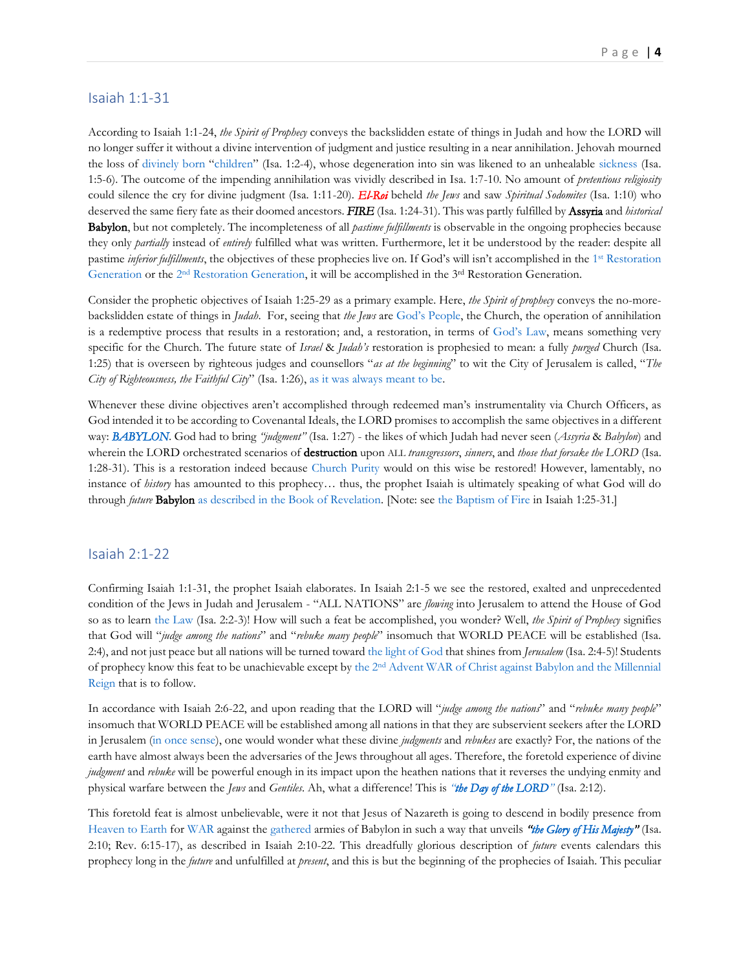## <span id="page-3-0"></span>Isaiah 1:1-31

According to Isaiah 1:1-24, *the Spirit of Prophecy* conveys the backslidden estate of things in Judah and how the LORD will no longer suffer it without a divine intervention of judgment and justice resulting in a near annihilation. Jehovah mourned the loss of [divinely born](http://www.thechurchofwells.com/the-attributes-of-god-in-christ.html#the-exodus---sonship) "[children](http://www.thechurchofwells.com/the-attributes-of-god-in-christ.html#the-exodus---sonship)" (Isa. 1:2-4), whose degeneration into sin was likened to an unhealable [sickness](http://www.thechurchofwellsresponds.com/chapter-5-the-new-testament-curses-of-god-ndash-promises-breached.html#bodily-sickness) (Isa. 1:5-6). The outcome of the impending annihilation was vividly described in Isa. 1:7-10. No amount of *pretentious religiosity* could silence the cry for divine judgment (Isa. 1:11-20). *El-Roi* beheld *the Jews* and saw *Spiritual Sodomites* (Isa. 1:10) who deserved the same fiery fate as their doomed ancestors. *FIRE* (Isa. 1:24-31). This was partly fulfilled by Assyria and *historical* Babylon, but not completely. The incompleteness of all *pastime fulfillments* is observable in the ongoing prophecies because they only *partially* instead of *entirely* fulfilled what was written. Furthermore, let it be understood by the reader: despite all pastime *inferior fulfillments*, the objectives of these prophecies live on. If God's will isn't accomplished in the 1<sup>st</sup> Restoration [Generation](https://www.therevelationofjesuschrist.org/books/a-commentary-on-the-book-of-revelation/revelation-4-6/the-breaking-of-the-seals-of-the-book-explaining-vindicating-the-past#_The_1st_Restoration_1) or the 2<sup>nd</sup> [Restoration Generation,](https://www.therevelationofjesuschrist.org/books/a-commentary-on-the-book-of-revelation/introduction/the-doctrine-of-the-last-days#_The_2nd_Restoration_1) it will be accomplished in the 3<sup>rd</sup> Restoration Generation.

Consider the prophetic objectives of Isaiah 1:25-29 as a primary example. Here, *the Spirit of prophecy* conveys the no-morebackslidden estate of things in *Judah*. For, seeing that *the Jews* are God['s People](http://www.thechurchofwells.com/the-attributes-of-god-in-christ.html#the-exodus---sonship), the Church, the operation of annihilation is a redemptive process that results in a restoration; and, a restoration, in terms of [God's Law](http://thechurchrealized.com/volume-3/chapter-16/the-old-testament-how-it-was/), means something very specific for the Church. The future state of *Israel* & *Judah's* restoration is prophesied to mean: a fully *purged* Church (Isa. 1:25) that is overseen by righteous judges and counsellors "*as at the beginning*" to wit the City of Jerusalem is called, "*The City of Righteousness, the Faithful City*" (Isa. 1:26), [as it was always meant to be.](http://thechurchrealized.com/volume-3/chapter-16/the-old-testament-how-it-was/)

Whenever these divine objectives aren't accomplished through redeemed man's instrumentality via Church Officers, as God intended it to be according to Covenantal Ideals, the LORD promises to accomplish the same objectives in a different way: *[BABYLON](http://www.putoffthyshoes.com/the-last-days/babylon-the-coming-of-the-lord?fbclid=IwAR2N5lUYtSDzmODwL1wQx6MpP66E2CL9oyzsC8NrK3nLrzLsjaVTIO9wh7g)*. God had to bring *"judgment"* (Isa. 1:27) - the likes of which Judah had never seen (*Assyria* & *Babylon*) and wherein the LORD orchestrated scenarios of destruction upon ALL *transgressors*, *sinners*, and *those that forsake the LORD* (Isa. 1:28-31). This is a restoration indeed because [Church Purity](https://thechurchrealized.com/volume-1/chapter-4/the-glory-of-god-departing-returning-to-the-church/) would on this wise be restored! However, lamentably, no instance of *history* has amounted to this prophecy… thus, the prophet Isaiah is ultimately speaking of what God will do through *future* Babylon [as described in the Book of Revelation.](https://www.therevelationofjesuschrist.org/books/a-commentary-on-the-book-of-revelation/revelation-7-9/introducing-babylon) [Note: se[e the Baptism of Fire](http://thechurchrealized.com/volume-3/chapter-17/in-the-new-testament-in-the-consummation-how-it-is-how-it-will-be/#saved_by_fire) in Isaiah 1:25-31.]

#### <span id="page-3-1"></span>Isaiah 2:1-22

Confirming Isaiah 1:1-31, the prophet Isaiah elaborates. In Isaiah 2:1-5 we see the restored, exalted and unprecedented condition of the Jews in Judah and Jerusalem - "ALL NATIONS" are *flowing* into Jerusalem to attend the House of God so as to learn [the Law](https://www.therevelationofjesuschrist.org/books/a-commentary-on-the-book-of-revelation/revelation-11-15-19-14-6-16-21-18-1-20-6/light-to-the-gentiles-the-law-god-s-witnesses) (Isa. 2:2-3)! How will such a feat be accomplished, you wonder? Well, *the Spirit of Prophecy* signifies that God will "*judge among the nations*" and "*rebuke many people*" insomuch that WORLD PEACE will be established (Isa. 2:4), and not just peace but all nations will be turned towar[d the light of God](https://www.therevelationofjesuschrist.org/books/a-commentary-on-the-book-of-revelation/revelation-11-15-19-14-6-16-21-18-1-20-6/light-to-the-gentiles-the-law-god-s-witnesses) that shines from *Jerusalem* (Isa. 2:4-5)! Students of prophecy know this feat to be unachievable except by the 2nd [Advent WAR of Christ against Babylon and the Millennial](https://www.therevelationofjesuschrist.org/books/a-commentary-on-the-book-of-revelation/revelation-11-15-19-14-6-16-21-18-1-20-6/introducing-the-end-75-days-of-great-terrible-glory)  [Reign](https://www.therevelationofjesuschrist.org/books/a-commentary-on-the-book-of-revelation/revelation-11-15-19-14-6-16-21-18-1-20-6/introducing-the-end-75-days-of-great-terrible-glory) that is to follow.

In accordance with Isaiah 2:6-22, and upon reading that the LORD will "*judge among the nations*" and "*rebuke many people*" insomuch that WORLD PEACE will be established among all nations in that they are subservient seekers after the LORD in Jerusalem [\(in once sense\)](https://www.therevelationofjesuschrist.org/books/a-commentary-on-the-book-of-revelation/revelation-11-15-19-14-6-16-21-18-1-20-6/the-armies-of-heaven-in-worldwide-battle#_The_Call:_A), one would wonder what these divine *judgments* and *rebukes* are exactly? For, the nations of the earth have almost always been the adversaries of the Jews throughout all ages. Therefore, the foretold experience of divine *judgment* and *rebuke* will be powerful enough in its impact upon the heathen nations that it reverses the undying enmity and physical warfare between the *Jews* and *Gentiles*. Ah, what a difference! This is *"[the Day of the LORD](http://www.putoffthyshoes.com/the-last-days/the-day-of-the-lord)"* (Isa. 2:12).

This foretold feat is almost unbelievable, were it not that Jesus of Nazareth is going to descend in bodily presence from [Heaven to Earth](https://www.therevelationofjesuschrist.org/books/a-commentary-on-the-book-of-revelation/revelation-11-15-19-14-6-16-21-18-1-20-6/heaven-besieging-earth-the-vials) for [WAR](https://www.therevelationofjesuschrist.org/books/a-commentary-on-the-book-of-revelation/revelation-11-15-19-14-6-16-21-18-1-20-6/the-armies-of-heaven-in-worldwide-battle) against the [gathered](https://www.therevelationofjesuschrist.org/books/a-commentary-on-the-book-of-revelation/revelation-11-15-19-14-6-16-21-18-1-20-6/the-gathering-6th-vial) armies of Babylon in such a way that unveils *"[the Glory of His Majesty](https://www.therevelationofjesuschrist.org/books/a-commentary-on-the-book-of-revelation/revelation-11-15-19-14-6-16-21-18-1-20-6/the-shaking-7th-vial)"* (Isa. 2:10; Rev. 6:15-17), as described in Isaiah 2:10-22. This dreadfully glorious description of *future* events calendars this prophecy long in the *future* and unfulfilled at *present*, and this is but the beginning of the prophecies of Isaiah. This peculiar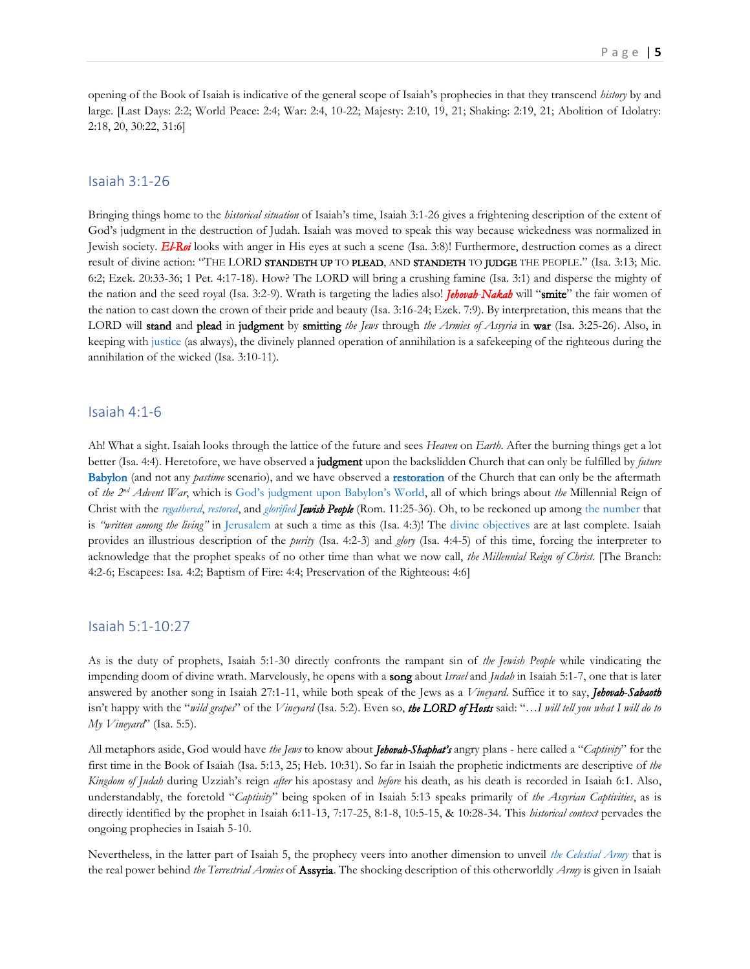opening of the Book of Isaiah is indicative of the general scope of Isaiah's prophecies in that they transcend *history* by and large. [Last Days: 2:2; World Peace: 2:4; War: 2:4, 10-22; Majesty: 2:10, 19, 21; Shaking: 2:19, 21; Abolition of Idolatry: 2:18, 20, 30:22, 31:6]

#### <span id="page-4-0"></span>Isaiah 3:1-26

Bringing things home to the *historical situation* of Isaiah's time, Isaiah 3:1-26 gives a frightening description of the extent of God's judgment in the destruction of Judah. Isaiah was moved to speak this way because wickedness was normalized in Jewish society. *El-Roi* looks with anger in His eyes at such a scene (Isa. 3:8)! Furthermore, destruction comes as a direct result of divine action: "THE LORD STANDETH UP TO PLEAD, AND STANDETH TO JUDGE THE PEOPLE." (Isa. 3:13; Mic. 6:2; Ezek. 20:33-36; 1 Pet. 4:17-18). How? The LORD will bring a crushing famine (Isa. 3:1) and disperse the mighty of the nation and the seed royal (Isa. 3:2-9). Wrath is targeting the ladies also! *Jehovah*-*Nakah* will "smite" the fair women of the nation to cast down the crown of their pride and beauty (Isa. 3:16-24; Ezek. 7:9). By interpretation, this means that the LORD will stand and plead in judgment by smitting *the Jews* through *the Armies of Assyria* in war (Isa. 3:25-26). Also, in keeping wit[h justice](http://www.thechurchofwells.com/the-attributes-of-god-in-christ.html#the-exodus---melek-b-jeshurun) (as always), the divinely planned operation of annihilation is a safekeeping of the righteous during the annihilation of the wicked (Isa. 3:10-11).

#### <span id="page-4-1"></span>Isaiah 4:1-6

Ah! What a sight. Isaiah looks through the lattice of the future and sees *Heaven* on *Earth*. After the burning things get a lot better (Isa. 4:4). Heretofore, we have observed a judgment upon the backslidden Church that can only be fulfilled by *future* [Babylon](http://www.putoffthyshoes.com/the-last-days/babylon-the-coming-of-the-lord?fbclid=IwAR2N5lUYtSDzmODwL1wQx6MpP66E2CL9oyzsC8NrK3nLrzLsjaVTIO9wh7g) (and not any *pastime* scenario), and we have observed a [restoration](https://www.therevelationofjesuschrist.org/books/a-commentary-on-the-book-of-revelation/revelation-11-15-19-14-6-16-21-18-1-20-6/consummation-restoration) of the Church that can only be the aftermath of *the 2nd Advent War*, which is [God's judgment upon Babylon's World](http://www.putoffthyshoes.com/the-last-days/judgment-day-the-hour-of-his-judgment-is-come-rev-147), all of which brings about *the* Millennial Reign of Christ with the *[regathered](https://www.therevelationofjesuschrist.org/books/a-commentary-on-the-book-of-revelation/revelation-11-15-19-14-6-16-21-18-1-20-6/a-treacherous-journey-the-point-of-conversion)*, *[restored](https://www.therevelationofjesuschrist.org/books/a-commentary-on-the-book-of-revelation/revelation-11-15-19-14-6-16-21-18-1-20-6/light-to-the-gentiles-the-law-god-s-witnesses)*, and *[glorified](https://www.therevelationofjesuschrist.org/books/a-commentary-on-the-book-of-revelation/revelation-11-15-19-14-6-16-21-18-1-20-6/day-1-335-the-triumphant-entry-of-christ-into-jerusalem) Jewish People* (Rom. 11:25-36). Oh, to be reckoned up among [the number](https://thechurchrealized.com/volume-3/chapter-15/the-assembly/#ot) that is *"written among the living"* in [Jerusalem](https://thechurchrealized.com/volume-3/chapter-16/the-consummation-how-it-will-be/#city) at such a time as this (Isa. 4:3)! The [divine objectives](https://thechurchrealized.com/volume-3/chapter-16/the-old-testament-how-it-was/) are at last complete. Isaiah provides an illustrious description of the *purity* (Isa. 4:2-3) and *glory* (Isa. 4:4-5) of this time, forcing the interpreter to acknowledge that the prophet speaks of no other time than what we now call, *the Millennial Reign of Christ*. [The Branch: 4:2-6; Escapees: Isa. 4:2; Baptism of Fire: 4:4; Preservation of the Righteous: 4:6]

#### <span id="page-4-2"></span>Isaiah 5:1-10:27

As is the duty of prophets, Isaiah 5:1-30 directly confronts the rampant sin of *the Jewish People* while vindicating the impending doom of divine wrath. Marvelously, he opens with a song about *Israel* and *Judah* in Isaiah 5:1-7, one that is later answered by another song in Isaiah 27:1-11, while both speak of the Jews as a *Vineyard*. Suffice it to say, *Jehovah*-*Sabaoth* isn't happy with the "*wild grapes*" of the *Vineyard* (Isa. 5:2). Even so, *the LORD of Hosts* said: "…*I will tell you what I will do to My Vineyard*" (Isa. 5:5).

All metaphors aside, God would have *the Jews* to know about *Jehovah-Shaphat's* angry plans - here called a "*Captivity*" for the first time in the Book of Isaiah (Isa. 5:13, 25; Heb. 10:31). So far in Isaiah the prophetic indictments are descriptive of *the Kingdom of Judah* during Uzziah's reign *after* his apostasy and *before* his death, as his death is recorded in Isaiah 6:1. Also, understandably, the foretold "*Captivity*" being spoken of in Isaiah 5:13 speaks primarily of *the Assyrian Captivities*, as is directly identified by the prophet in Isaiah 6:11-13, 7:17-25, 8:1-8, 10:5-15, & 10:28-34. This *historical context* pervades the ongoing prophecies in Isaiah 5-10.

Nevertheless, in the latter part of Isaiah 5, the prophecy veers into another dimension to unveil *[the Celestial Army](https://www.therevelationofjesuschrist.org/books/a-commentary-on-the-book-of-revelation/revelation-7-9/5th-trumpet#_The_Description_of)* that is the real power behind *the Terrestrial Armies* of Assyria. The shocking description of this otherworldly *Army* is given in Isaiah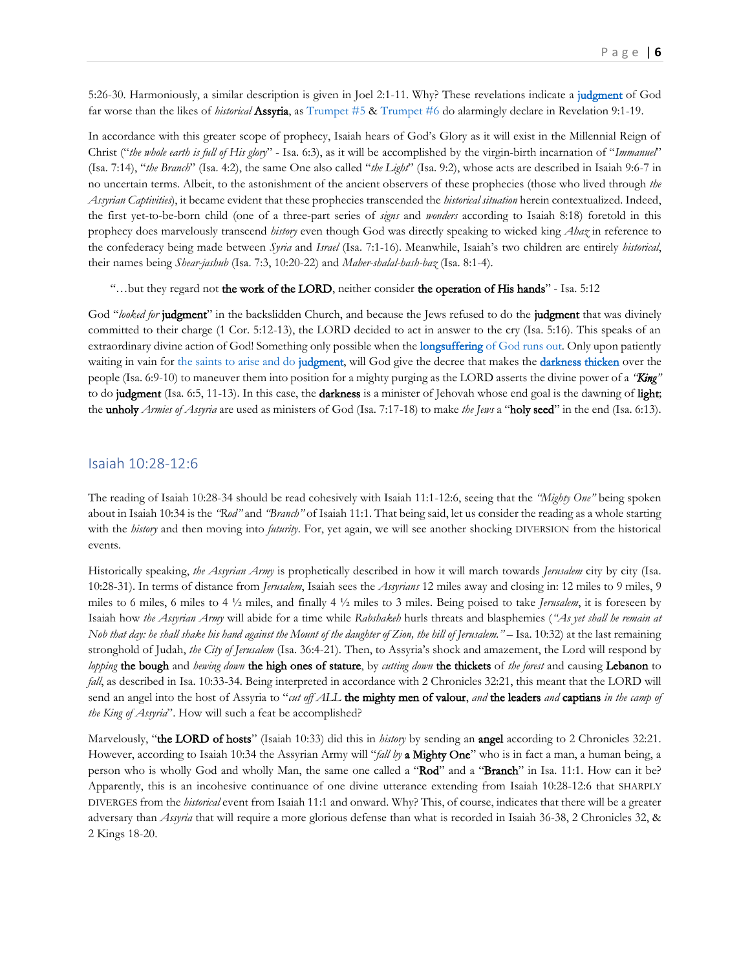5:26-30. Harmoniously, a similar description is given in Joel 2:1-11. Why? These revelations indicate a [judgment](http://www.putoffthyshoes.com/the-last-days/babylon-the-coming-of-the-lord?fbclid=IwAR2N5lUYtSDzmODwL1wQx6MpP66E2CL9oyzsC8NrK3nLrzLsjaVTIO9wh7g) of God far worse than the likes of *historical* Assyria, a[s Trumpet #5](https://www.therevelationofjesuschrist.org/books/a-commentary-on-the-book-of-revelation/revelation-7-9/5th-trumpet) & [Trumpet #6](https://www.therevelationofjesuschrist.org/books/a-commentary-on-the-book-of-revelation/revelation-7-9/6th-trumpet) do alarmingly declare in Revelation 9:1-19.

In accordance with this greater scope of prophecy, Isaiah hears of God's Glory as it will exist in the Millennial Reign of Christ ("*the whole earth is full of His glory*" - Isa. 6:3), as it will be accomplished by the virgin-birth incarnation of "*Immanuel*" (Isa. 7:14), "*the Branch*" (Isa. 4:2), the same One also called "*the Light*" (Isa. 9:2), whose acts are described in Isaiah 9:6-7 in no uncertain terms. Albeit, to the astonishment of the ancient observers of these prophecies (those who lived through *the Assyrian Captivities*), it became evident that these prophecies transcended the *historical situation* herein contextualized. Indeed, the first yet-to-be-born child (one of a three-part series of *signs* and *wonders* according to Isaiah 8:18) foretold in this prophecy does marvelously transcend *history* even though God was directly speaking to wicked king *Ahaz* in reference to the confederacy being made between *Syria* and *Israel* (Isa. 7:1-16). Meanwhile, Isaiah's two children are entirely *historical*, their names being *Shear-jashub* (Isa. 7:3, 10:20-22) and *Maher-shalal-hash-baz* (Isa. 8:1-4).

"…but they regard not the work of the LORD, neither consider the operation of His hands" - Isa. 5:12

God "looked for judgment" in the backslidden Church, and because the Jews refused to do the judgment that was divinely committed to their charge (1 Cor. 5:12-13), the LORD decided to act in answer to the cry (Isa. 5:16). This speaks of an extraordinary divine action of God! Something only possible when the **longsuffering** [of God runs out.](https://www.therevelationofjesuschrist.org/books/a-commentary-on-the-book-of-ezekiel/ezekiel-8-1-11-25/the-visible-church-abandoned-by-the-invisible-god#_God’s_Longsuffering_&) Only upon patiently waiting in vain for [the saints to arise and do judgment,](https://thechurchrealized.com/volume-2/appendix-1/the-new-testament/#saint-to-saint) will God give the decree that makes the [darkness thicken](https://www.therevelationofjesuschrist.org/books/a-commentary-on-the-book-of-revelation/revelation-7-9/4th-trumpet) over the people (Isa. 6:9-10) to maneuver them into position for a mighty purging as the LORD asserts the divine power of a *"King"* to do judgment (Isa. 6:5, 11-13). In this case, the darkness is a minister of Jehovah whose end goal is the dawning of light; the unholy *Armies of Assyria* are used as ministers of God (Isa. 7:17-18) to make *the Jews* a "holy seed" in the end (Isa. 6:13).

#### <span id="page-5-0"></span>Isaiah 10:28-12:6

The reading of Isaiah 10:28-34 should be read cohesively with Isaiah 11:1-12:6, seeing that the *"Mighty One"* being spoken about in Isaiah 10:34 is the *"Rod"* and *"Branch"* of Isaiah 11:1. That being said, let us consider the reading as a whole starting with the *history* and then moving into *futurity*. For, yet again, we will see another shocking DIVERSION from the historical events.

Historically speaking, *the Assyrian Army* is prophetically described in how it will march towards *Jerusalem* city by city (Isa. 10:28-31). In terms of distance from *Jerusalem*, Isaiah sees the *Assyrians* 12 miles away and closing in: 12 miles to 9 miles, 9 miles to 6 miles, 6 miles to 4 ½ miles, and finally 4 ½ miles to 3 miles. Being poised to take *Jerusalem*, it is foreseen by Isaiah how *the Assyrian Army* will abide for a time while *Rabshakeh* hurls threats and blasphemies (*"As yet shall he remain at Nob that day: he shall shake his hand against the Mount of the daughter of Zion, the hill of Jerusalem."* – Isa. 10:32) at the last remaining stronghold of Judah, *the City of Jerusalem* (Isa. 36:4-21). Then, to Assyria's shock and amazement, the Lord will respond by *lopping* the bough and *hewing down* the high ones of stature, by *cutting down* the thickets of *the forest* and causing Lebanon to *fall*, as described in Isa. 10:33-34. Being interpreted in accordance with 2 Chronicles 32:21, this meant that the LORD will send an angel into the host of Assyria to "*cut off ALL* the mighty men of valour, *and* the leaders *and* captians *in the camp of the King of Assyria*". How will such a feat be accomplished?

Marvelously, "the LORD of hosts" (Isaiah 10:33) did this in *history* by sending an angel according to 2 Chronicles 32:21. However, according to Isaiah 10:34 the Assyrian Army will "*fall by* a Mighty One" who is in fact a man, a human being, a person who is wholly God and wholly Man, the same one called a "Rod" and a "Branch" in Isa. 11:1. How can it be? Apparently, this is an incohesive continuance of one divine utterance extending from Isaiah 10:28-12:6 that SHARPLY DIVERGES from the *historical* event from Isaiah 11:1 and onward. Why? This, of course, indicates that there will be a greater adversary than *Assyria* that will require a more glorious defense than what is recorded in Isaiah 36-38, 2 Chronicles 32, & 2 Kings 18-20.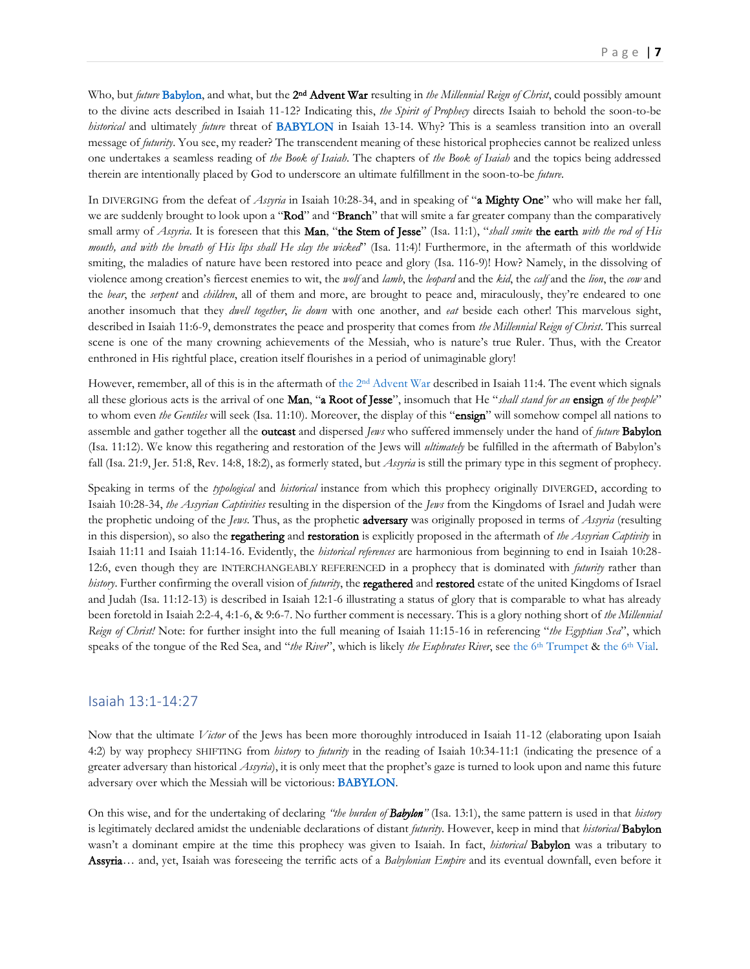Who, but *future* [Babylon,](http://www.putoffthyshoes.com/the-last-days/babylon-the-coming-of-the-lord?fbclid=IwAR2N5lUYtSDzmODwL1wQx6MpP66E2CL9oyzsC8NrK3nLrzLsjaVTIO9wh7g) and what, but the 2<sup>nd</sup> Advent War resulting in *the Millennial Reign of Christ*, could possibly amount to the divine acts described in Isaiah 11-12? Indicating this, *the Spirit of Prophecy* directs Isaiah to behold the soon-to-be *historical* and ultimately *future* threat of [BABYLON](http://www.putoffthyshoes.com/the-last-days/babylon-the-coming-of-the-lord?fbclid=IwAR2N5lUYtSDzmODwL1wQx6MpP66E2CL9oyzsC8NrK3nLrzLsjaVTIO9wh7g) in Isaiah 13-14. Why? This is a seamless transition into an overall message of *futurity*. You see, my reader? The transcendent meaning of these historical prophecies cannot be realized unless one undertakes a seamless reading of *the Book of Isaiah*. The chapters of *the Book of Isaiah* and the topics being addressed therein are intentionally placed by God to underscore an ultimate fulfillment in the soon-to-be *future*.

In DIVERGING from the defeat of *Assyria* in Isaiah 10:28-34, and in speaking of "a Mighty One" who will make her fall, we are suddenly brought to look upon a "Rod" and "Branch" that will smite a far greater company than the comparatively small army of *Assyria*. It is foreseen that this Man, "the Stem of Jesse" (Isa. 11:1), "*shall smite* the earth *with the rod of His mouth, and with the breath of His lips shall He slay the wicked*" (Isa. 11:4)! Furthermore, in the aftermath of this worldwide smiting, the maladies of nature have been restored into peace and glory (Isa. 116-9)! How? Namely, in the dissolving of violence among creation's fiercest enemies to wit, the *wolf* and *lamb*, the *leopard* and the *kid*, the *calf* and the *lion*, the *cow* and the *bear*, the *serpent* and *children*, all of them and more, are brought to peace and, miraculously, they're endeared to one another insomuch that they *dwell together*, *lie down* with one another, and *eat* beside each other! This marvelous sight, described in Isaiah 11:6-9, demonstrates the peace and prosperity that comes from *the Millennial Reign of Christ*. This surreal scene is one of the many crowning achievements of the Messiah, who is nature's true Ruler. Thus, with the Creator enthroned in His rightful place, creation itself flourishes in a period of unimaginable glory!

However, remember, all of this is in the aftermath of the 2<sup>nd</sup> [Advent War](https://www.therevelationofjesuschrist.org/books/a-commentary-on-the-book-of-revelation/revelation-11-15-19-14-6-16-21-18-1-20-6/heaven-besieging-earth-the-vials) described in Isaiah 11:4. The event which signals all these glorious acts is the arrival of one Man, "a Root of Jesse", insomuch that He "*shall stand for an* ensign *of the people*" to whom even *the Gentiles* will seek (Isa. 11:10). Moreover, the display of this "ensign" will somehow compel all nations to assemble and gather together all the outcast and dispersed *Jews* who suffered immensely under the hand of *future* Babylon (Isa. 11:12). We know this regathering and restoration of the Jews will *ultimately* be fulfilled in the aftermath of Babylon's fall (Isa. 21:9, Jer. 51:8, Rev. 14:8, 18:2), as formerly stated, but *Assyria* is still the primary type in this segment of prophecy.

Speaking in terms of the *typological* and *historical* instance from which this prophecy originally DIVERGED, according to Isaiah 10:28-34, *the Assyrian Captivities* resulting in the dispersion of the *Jews* from the Kingdoms of Israel and Judah were the prophetic undoing of the *Jews*. Thus, as the prophetic adversary was originally proposed in terms of *Assyria* (resulting in this dispersion), so also the regathering and restoration is explicitly proposed in the aftermath of *the Assyrian Captivity* in Isaiah 11:11 and Isaiah 11:14-16. Evidently, the *historical references* are harmonious from beginning to end in Isaiah 10:28- 12:6, even though they are INTERCHANGEABLY REFERENCED in a prophecy that is dominated with *futurity* rather than *history*. Further confirming the overall vision of *futurity*, the regathered and restored estate of the united Kingdoms of Israel and Judah (Isa. 11:12-13) is described in Isaiah 12:1-6 illustrating a status of glory that is comparable to what has already been foretold in Isaiah 2:2-4, 4:1-6, & 9:6-7. No further comment is necessary. This is a glory nothing short of *the Millennial Reign of Christ!* Note: for further insight into the full meaning of Isaiah 11:15-16 in referencing "*the Egyptian Sea*", which speaks of the tongue of the Red Sea, and "*the River*", which is likely *the Euphrates River*, see the 6<sup>th</sup> [Trumpet](https://www.therevelationofjesuschrist.org/books/a-commentary-on-the-book-of-revelation/revelation-7-9/6th-trumpet) [& the 6](https://www.therevelationofjesuschrist.org/books/a-commentary-on-the-book-of-revelation/revelation-11-15-19-14-6-16-21-18-1-20-6/the-gathering-6th-vial)<sup>th</sup> Vial.

#### <span id="page-6-0"></span>Isaiah 13:1-14:27

Now that the ultimate *Victor* of the Jews has been more thoroughly introduced in Isaiah 11-12 (elaborating upon Isaiah 4:2) by way prophecy SHIFTING from *history* to *futurity* in the reading of Isaiah 10:34-11:1 (indicating the presence of a greater adversary than historical *Assyria*), it is only meet that the prophet's gaze is turned to look upon and name this future adversary over which the Messiah will be victorious: [BABYLON.](http://www.putoffthyshoes.com/the-last-days/babylon-the-coming-of-the-lord?fbclid=IwAR2N5lUYtSDzmODwL1wQx6MpP66E2CL9oyzsC8NrK3nLrzLsjaVTIO9wh7g)

On this wise, and for the undertaking of declaring *"the burden of Babylon"* (Isa. 13:1), the same pattern is used in that *history* is legitimately declared amidst the undeniable declarations of distant *futurity*. However, keep in mind that *historical* Babylon wasn't a dominant empire at the time this prophecy was given to Isaiah. In fact, *historical* Babylon was a tributary to Assyria… and, yet, Isaiah was foreseeing the terrific acts of a *Babylonian Empire* and its eventual downfall, even before it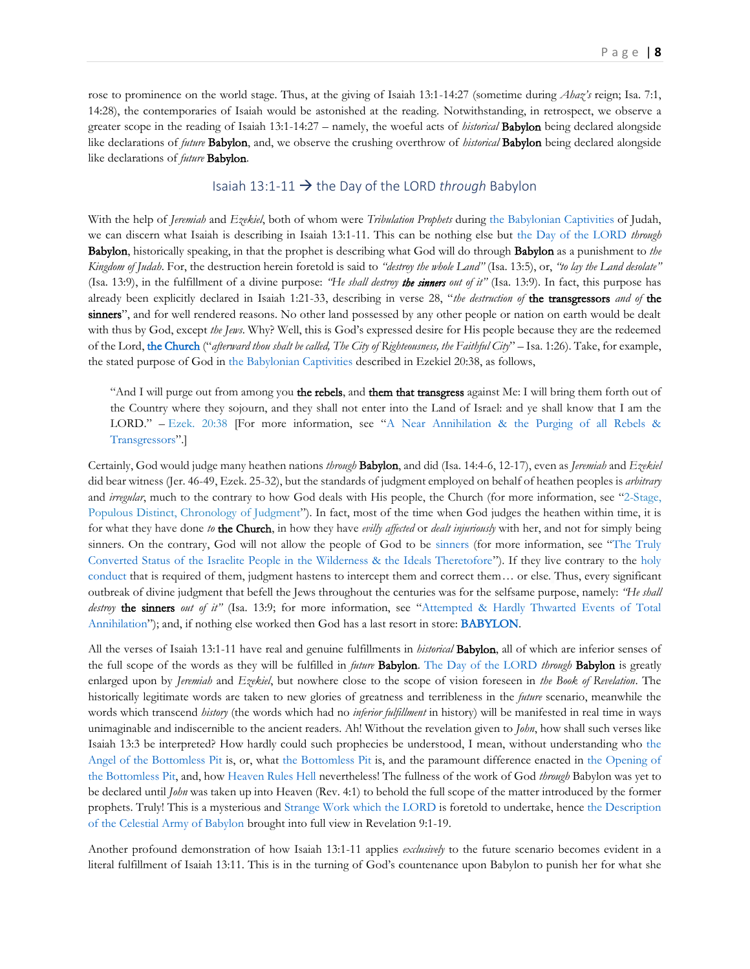rose to prominence on the world stage. Thus, at the giving of Isaiah 13:1-14:27 (sometime during *Ahaz's* reign; Isa. 7:1, 14:28), the contemporaries of Isaiah would be astonished at the reading. Notwithstanding, in retrospect, we observe a greater scope in the reading of Isaiah 13:1-14:27 – namely, the woeful acts of *historical* Babylon being declared alongside like declarations of *future* Babylon, and, we observe the crushing overthrow of *historical* Babylon being declared alongside like declarations of *future* Babylon.

## Isaiah 13:1-11 → the Day of the LORD *through* Babylon

<span id="page-7-0"></span>With the help of *Jeremiah* and *Ezekiel*, both of whom were *Tribulation Prophets* during [the Babylonian Captivities](https://www.therevelationofjesuschrist.org/books/a-chronological-ordering-of-events) of Judah, we can discern what Isaiah is describing in Isaiah 13:1-11. This can be nothing else but [the Day of the LORD](http://www.putoffthyshoes.com/the-last-days/the-day-of-the-lord) *through* Babylon, historically speaking, in that the prophet is describing what God will do through Babylon as a punishment to *the Kingdom of Judah*. For, the destruction herein foretold is said to *"destroy the whole Land"* (Isa. 13:5), or, *"to lay the Land desolate"* (Isa. 13:9), in the fulfillment of a divine purpose: *"He shall destroy the sinners out of it"* (Isa. 13:9). In fact, this purpose has already been explicitly declared in Isaiah 1:21-33, describing in verse 28, "*the destruction of* the transgressors *and of* the sinners", and for well rendered reasons. No other land possessed by any other people or nation on earth would be dealt with thus by God, except *the Jews*. Why? Well, this is God's expressed desire for His people because they are the redeemed of the Lord, [the Church](https://thechurchrealized.com/volume-2/appendix-1/the-old-testament) ("*afterward thou shalt be called, The City of Righteousness, the Faithful City*" – Isa. 1:26). Take, for example, the stated purpose of God in [the Babylonian Captivities](https://www.therevelationofjesuschrist.org/books/a-chronological-ordering-of-events) described in Ezekiel 20:38, as follows,

"And I will purge out from among you the rebels, and them that transgress against Me: I will bring them forth out of the Country where they sojourn, and they shall not enter into the Land of Israel: and ye shall know that I am the LORD." – [Ezek. 20:38](https://biblia.com/bible/kjv1900/Ezek.%2020.38) [For more information, see "[A Near Annihilation & the Purging of all Rebels &](https://www.therevelationofjesuschrist.org/books/a-commentary-on-the-book-of-ezekiel/ezekiel-20-1-21-32/the-wilderness-experience-of-the-tribulation-period#_A_Near_Annihilation)  [Transgressors](https://www.therevelationofjesuschrist.org/books/a-commentary-on-the-book-of-ezekiel/ezekiel-20-1-21-32/the-wilderness-experience-of-the-tribulation-period#_A_Near_Annihilation)".]

Certainly, God would judge many heathen nations *through* Babylon, and did (Isa. 14:4-6, 12-17), even as *Jeremiah* and *Ezekiel* did bear witness (Jer. 46-49, Ezek. 25-32), but the standards of judgment employed on behalf of heathen peoples is *arbitrary* and *irregular*, much to the contrary to how God deals with His people, the Church (for more information, see "[2-Stage,](http://thechurchrealized.com/volume-2/appendix-1/the-old-testament/)  [Populous Distinct, Chronology of Judgment](http://thechurchrealized.com/volume-2/appendix-1/the-old-testament/)"). In fact, most of the time when God judges the heathen within time, it is for what they have done *to* the Church, in how they have *evilly affected* or *dealt injuriously* with her, and not for simply being sinners. On the contrary, God will not allow the people of God to be [sinners](https://thechurchrealized.com/volume-2/appendix-1/the-old-testament) (for more information, see "[The Truly](https://www.therevelationofjesuschrist.org/books/a-commentary-on-the-book-of-ezekiel/ezekiel-18-1-32/the-truly-converted-status-of-the-israelite-people-in-the-wilderness-the-ideals-theretofore)  [Converted Status of the Israelite People in the Wilderness & the Ideals Theretofore](https://www.therevelationofjesuschrist.org/books/a-commentary-on-the-book-of-ezekiel/ezekiel-18-1-32/the-truly-converted-status-of-the-israelite-people-in-the-wilderness-the-ideals-theretofore)"). If they live contrary to the [holy](https://thechurchrealized.com/volume-1/chapter-4/the-glory-of-god-departing-returning-to-the-church/)  [conduct](https://thechurchrealized.com/volume-1/chapter-4/the-glory-of-god-departing-returning-to-the-church/) that is required of them, judgment hastens to intercept them and correct them… or else. Thus, every significant outbreak of divine judgment that befell the Jews throughout the centuries was for the selfsame purpose, namely: *"He shall destroy* the sinners *out of it*<sup>"</sup> (Isa. 13:9; for more information, see "Attempted & Hardly Thwarted Events of Total [Annihilation](https://www.therevelationofjesuschrist.org/books/a-commentary-on-the-book-of-ezekiel/ezekiel-18-1-32/attempted-hardly-thwarted-events-of-total-annihilation)"); and, if nothing else worked then God has a last resort in store: [BABYLON.](http://www.putoffthyshoes.com/the-last-days/babylon-the-coming-of-the-lord?fbclid=IwAR2N5lUYtSDzmODwL1wQx6MpP66E2CL9oyzsC8NrK3nLrzLsjaVTIO9wh7g)

All the verses of Isaiah 13:1-11 have real and genuine fulfillments in *historical* Babylon, all of which are inferior senses of the full scope of the words as they will be fulfilled in *future* Babylon. [The Day of the LORD](http://www.putoffthyshoes.com/the-last-days/the-day-of-the-lord) *through* Babylon is greatly enlarged upon by *Jeremiah* and *Ezekiel*, but nowhere close to the scope of vision foreseen in *the Book of Revelation*. The historically legitimate words are taken to new glories of greatness and terribleness in the *future* scenario, meanwhile the words which transcend *history* (the words which had no *inferior fulfillment* in history) will be manifested in real time in ways unimaginable and indiscernible to the ancient readers. Ah! Without the revelation given to *John*, how shall such verses like Isaiah 13:3 be interpreted? How hardly could such prophecies be understood, I mean, without understanding who [the](https://www.therevelationofjesuschrist.org/books/a-commentary-on-the-book-of-revelation/revelation-7-9/5th-trumpet#_The_Angel_of)  [Angel of the Bottomless Pit](https://www.therevelationofjesuschrist.org/books/a-commentary-on-the-book-of-revelation/revelation-7-9/5th-trumpet#_The_Angel_of) is, or, what [the Bottomless Pit](https://www.therevelationofjesuschrist.org/books/a-commentary-on-the-book-of-revelation/revelation-7-9/5th-trumpet#_The_Bottomless_Pit) is, and the paramount difference enacted in [the Opening of](https://www.therevelationofjesuschrist.org/books/a-commentary-on-the-book-of-revelation/revelation-7-9/5th-trumpet#_The_Opening_of)  [the Bottomless Pit,](https://www.therevelationofjesuschrist.org/books/a-commentary-on-the-book-of-revelation/revelation-7-9/5th-trumpet#_The_Opening_of) and, how [Heaven Rules Hell](https://www.therevelationofjesuschrist.org/books/a-commentary-on-the-book-of-revelation/revelation-7-9/5th-trumpet#_Heaven_Rules_Hell!) nevertheless! The fullness of the work of God *through* Babylon was yet to be declared until *John* was taken up into Heaven (Rev. 4:1) to behold the full scope of the matter introduced by the former prophets. Truly! This is a mysterious and [Strange Work which the](https://www.therevelationofjesuschrist.org/books/a-commentary-on-the-book-of-revelation/revelation-7-9/5th-trumpet#_The_Strange_Work) LORD is foretold to undertake, henc[e the Description](https://www.therevelationofjesuschrist.org/books/a-commentary-on-the-book-of-revelation/revelation-7-9/5th-trumpet#_The_Description_of)  [of the Celestial Army of Babylon](https://www.therevelationofjesuschrist.org/books/a-commentary-on-the-book-of-revelation/revelation-7-9/5th-trumpet#_The_Description_of) brought into full view in Revelation 9:1-19.

Another profound demonstration of how Isaiah 13:1-11 applies *exclusively* to the future scenario becomes evident in a literal fulfillment of Isaiah 13:11. This is in the turning of God's countenance upon Babylon to punish her for what she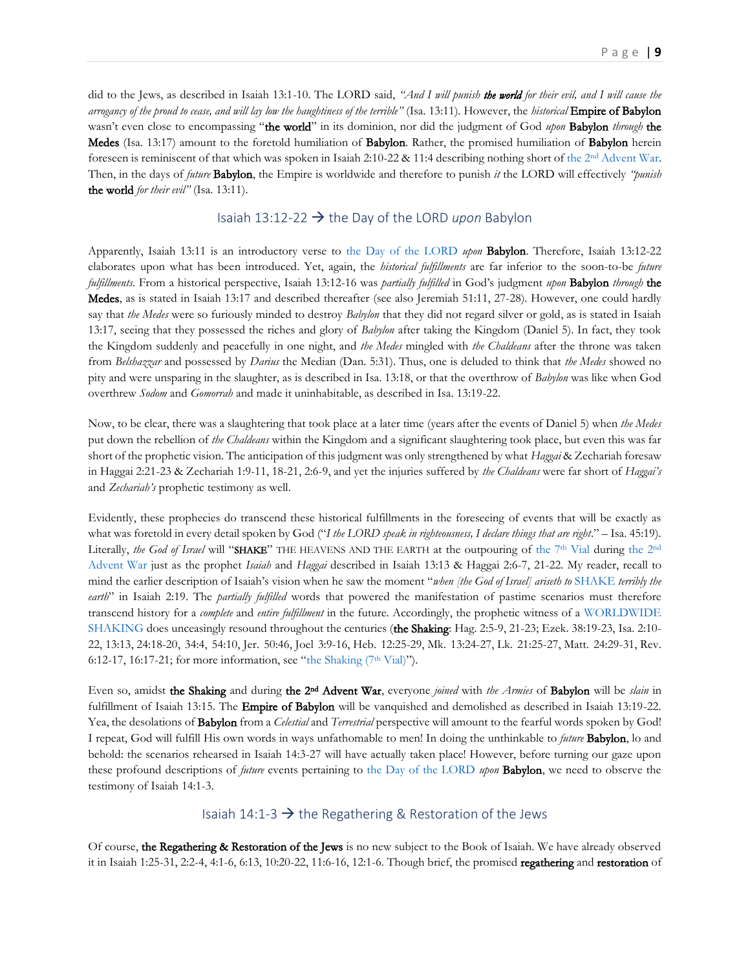did to the Jews, as described in Isaiah 13:1-10. The LORD said, *"And I will punish the world for their evil, and I will cause the arrogancy of the proud to cease, and will lay low the haughtiness of the terrible"* (Isa. 13:11). However, the *historical* Empire of Babylon wasn't even close to encompassing "the world" in its dominion, nor did the judgment of God *upon* Babylon *through* the Medes (Isa. 13:17) amount to the foretold humiliation of Babylon. Rather, the promised humiliation of Babylon herein foreseen is reminiscent of that which was spoken in Isaiah 2:10-22 & 11:4 describing nothing short of the 2nd [Advent War.](https://www.therevelationofjesuschrist.org/books/a-commentary-on-the-book-of-revelation/revelation-11-15-19-14-6-16-21-18-1-20-6/heaven-besieging-earth-the-vials) Then, in the days of *future* Babylon, the Empire is worldwide and therefore to punish *it* the LORD will effectively *"punish* the world *for their evil"* (Isa. 13:11).

## Isaiah 13:12-22 → the Day of the LORD *upon* Babylon

<span id="page-8-0"></span>Apparently, Isaiah 13:11 is an introductory verse to [the Day of the LORD](http://www.putoffthyshoes.com/the-last-days/the-day-of-the-lord) *upon* Babylon. Therefore, Isaiah 13:12-22 elaborates upon what has been introduced. Yet, again, the *historical fulfillments* are far inferior to the soon-to-be *future fulfillments*. From a historical perspective, Isaiah 13:12-16 was *partially fulfilled* in God's judgment *upon* Babylon *through* the Medes, as is stated in Isaiah 13:17 and described thereafter (see also Jeremiah 51:11, 27-28). However, one could hardly say that *the Medes* were so furiously minded to destroy *Babylon* that they did not regard silver or gold, as is stated in Isaiah 13:17, seeing that they possessed the riches and glory of *Babylon* after taking the Kingdom (Daniel 5). In fact, they took the Kingdom suddenly and peacefully in one night, and *the Medes* mingled with *the Chaldeans* after the throne was taken from *Belshazzar* and possessed by *Darius* the Median (Dan. 5:31). Thus, one is deluded to think that *the Medes* showed no pity and were unsparing in the slaughter, as is described in Isa. 13:18, or that the overthrow of *Babylon* was like when God overthrew *Sodom* and *Gomorrah* and made it uninhabitable, as described in Isa. 13:19-22.

Now, to be clear, there was a slaughtering that took place at a later time (years after the events of Daniel 5) when *the Medes* put down the rebellion of *the Chaldeans* within the Kingdom and a significant slaughtering took place, but even this was far short of the prophetic vision. The anticipation of this judgment was only strengthened by what *Haggai* & Zechariah foresaw in Haggai 2:21-23 & Zechariah 1:9-11, 18-21, 2:6-9, and yet the injuries suffered by *the Chaldeans* were far short of *Haggai's* and *Zechariah's* prophetic testimony as well.

Evidently, these prophecies do transcend these historical fulfillments in the foreseeing of events that will be exactly as what was foretold in every detail spoken by God ("I the LORD speak in righteousness, I declare things that are right." - Isa. 45:19). Literally, *the God of Israel* will "SHAKE" THE HEAVENS AND THE EARTH at the outpouring of [the 7](https://www.therevelationofjesuschrist.org/books/a-commentary-on-the-book-of-revelation/revelation-11-15-19-14-6-16-21-18-1-20-6/the-shaking-7th-vial)<sup>th</sup> Vial during [the 2](https://www.therevelationofjesuschrist.org/books/a-commentary-on-the-book-of-revelation/revelation-11-15-19-14-6-16-21-18-1-20-6/heaven-besieging-earth-the-vials)<sup>nd</sup> [Advent War](https://www.therevelationofjesuschrist.org/books/a-commentary-on-the-book-of-revelation/revelation-11-15-19-14-6-16-21-18-1-20-6/heaven-besieging-earth-the-vials) just as the prophet *Isaiah* and *Haggai* described in Isaiah 13:13 & Haggai 2:6-7, 21-22. My reader, recall to mind the earlier description of Isaiah's vision when he saw the moment "*when [the God of Israel] ariseth to* [SHAKE](https://www.therevelationofjesuschrist.org/books/a-commentary-on-the-book-of-revelation/revelation-11-15-19-14-6-16-21-18-1-20-6/the-shaking-7th-vial) *terribly the earth*" in Isaiah 2:19. The *partially fulfilled* words that powered the manifestation of pastime scenarios must therefore transcend history for a *complete* and *entire fulfillment* in the future. Accordingly, the prophetic witness of a [WORLDWIDE](https://www.therevelationofjesuschrist.org/books/a-commentary-on-the-book-of-revelation/revelation-11-15-19-14-6-16-21-18-1-20-6/the-shaking-7th-vial) [SHAKING](https://www.therevelationofjesuschrist.org/books/a-commentary-on-the-book-of-revelation/revelation-11-15-19-14-6-16-21-18-1-20-6/the-shaking-7th-vial) does unceasingly resound throughout the centuries (the Shaking: [Hag. 2:5-9,](https://biblia.com/bible/kjv1900/Haggai.%202.5-9) [21-23;](https://biblia.com/bible/kjv1900/Hag%202.21-23) [Ezek. 38:19-23,](https://biblia.com/bible/kjv1900/Ezek.%2038.19-23) [Isa. 2:10-](https://biblia.com/bible/kjv1900/Isa.%202.10-22) [22,](https://biblia.com/bible/kjv1900/Isa.%202.10-22) [13:13,](https://biblia.com/bible/kjv1900/Isa%2013.13) [24:](https://biblia.com/bible/kjv1900/Isa%2013.24)18-20, 34:4, 54:10, [Jer. 50:46,](https://biblia.com/bible/kjv1900/Jer.%2050.46) [Joel 3:9-16,](https://biblia.com/bible/kjv1900/Joel%203.9-16) [Heb. 12:25-29,](https://biblia.com/bible/kjv1900/Heb.%2012.25-29) [Mk. 13:24-27,](https://biblia.com/bible/kjv1900/Mark.%2013.24-27) [Lk. 21:25-27,](https://biblia.com/bible/kjv1900/Luke.%2021.25-27) [Matt. 24:29-31,](https://biblia.com/bible/kjv1900/Matt.%2024.29-31) [Rev.](https://biblia.com/bible/kjv1900/Rev.%206.12-17)  [6:12-17,](https://biblia.com/bible/kjv1900/Rev.%206.12-17) [16:17-21](https://biblia.com/bible/kjv1900/Rev%2016.17-21); for more information, see "the Shaking  $(7<sup>th</sup>$  Vial)").

Even so, amidst the Shaking and during the 2<sup>nd</sup> Advent War, everyone *joined* with *the Armies* of Babylon will be *slain* in fulfillment of Isaiah 13:15. The **Empire of Babylon** will be vanquished and demolished as described in Isaiah 13:19-22. Yea, the desolations of Babylon from a *Celestial* and *Terrestrial* perspective will amount to the fearful words spoken by God! I repeat, God will fulfill His own words in ways unfathomable to men! In doing the unthinkable to *future* Babylon, lo and behold: the scenarios rehearsed in Isaiah 14:3-27 will have actually taken place! However, before turning our gaze upon these profound descriptions of *future* events pertaining to [the Day of the LORD](http://www.putoffthyshoes.com/the-last-days/the-day-of-the-lord) *upon* Babylon, we need to observe the testimony of Isaiah 14:1-3.

## Isaiah 14:1-3  $\rightarrow$  the Regathering & Restoration of the Jews

<span id="page-8-1"></span>Of course, the Regathering & Restoration of the Jews is no new subject to the Book of Isaiah. We have already observed it in Isaiah 1:25-31, 2:2-4, 4:1-6, 6:13, 10:20-22, 11:6-16, 12:1-6. Though brief, the promised regathering and restoration of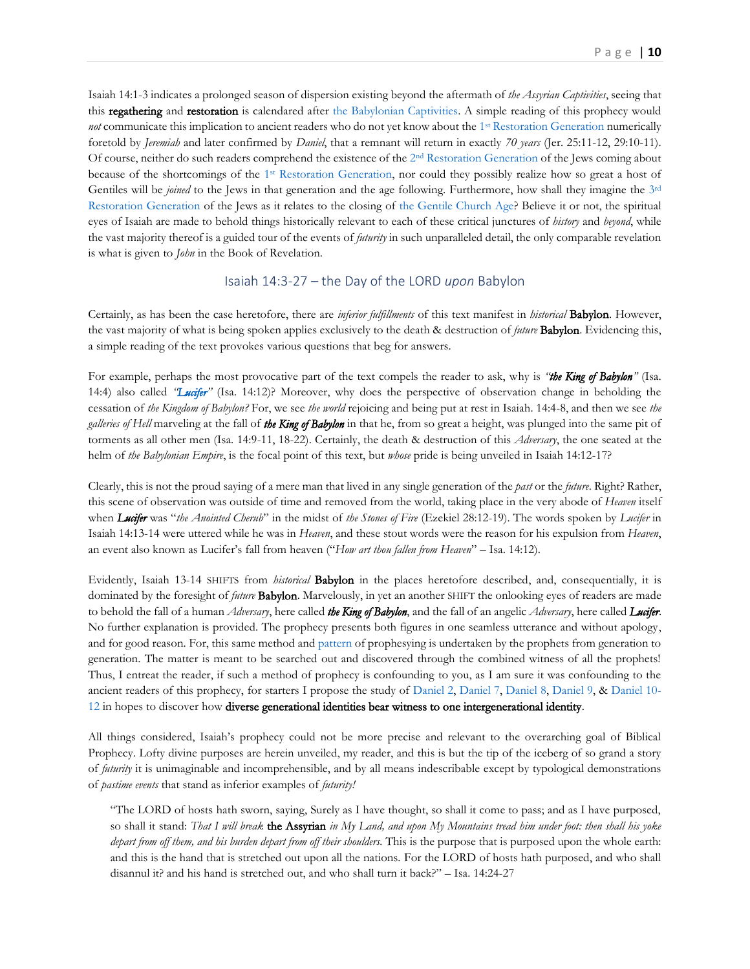Isaiah 14:1-3 indicates a prolonged season of dispersion existing beyond the aftermath of *the Assyrian Captivities*, seeing that this regathering and restoration is calendared after [the Babylonian Captivities.](https://www.therevelationofjesuschrist.org/books/a-chronological-ordering-of-events) A simple reading of this prophecy would not communicate this implication to ancient readers who do not yet know about the 1<sup>st</sup> [Restoration Generation](https://www.therevelationofjesuschrist.org/books/a-commentary-on-the-book-of-revelation/revelation-4-6/the-breaking-of-the-seals-of-the-book-explaining-vindicating-the-past#_The_1st_Restoration_1) numerically foretold by *Jeremiah* and later confirmed by *Daniel*, that a remnant will return in exactly *70 years* (Jer. 25:11-12, 29:10-11). Of course, neither do such readers comprehend the existence of the 2<sup>nd</sup> [Restoration Generation](https://www.therevelationofjesuschrist.org/books/a-commentary-on-the-book-of-revelation/introduction/the-doctrine-of-the-last-days#_The_2nd_Restoration_1) of the Jews coming about because of the shortcomings of the 1<sup>st</sup> [Restoration Generation,](https://www.therevelationofjesuschrist.org/books/a-commentary-on-the-book-of-revelation/revelation-4-6/the-breaking-of-the-seals-of-the-book-explaining-vindicating-the-past#_The_1st_Restoration_1) nor could they possibly realize how so great a host of Gentiles will be *joined* to the Jews in that generation and the age following. Furthermore, how shall they imagine the [3](https://www.therevelationofjesuschrist.org/books/a-commentary-on-the-book-of-revelation/revelation-10-1-11-14/zerubbabel-joshua-the-latter-house-of-glory#_3-Stage,_Multi-Sensed,_Synergistic)<sup>rd</sup> [Restoration Generation](https://www.therevelationofjesuschrist.org/books/a-commentary-on-the-book-of-revelation/revelation-10-1-11-14/zerubbabel-joshua-the-latter-house-of-glory#_3-Stage,_Multi-Sensed,_Synergistic) of the Jews as it relates to the closing of [the Gentile Church Age?](https://www.therevelationofjesuschrist.org/books/a-commentary-on-the-book-of-revelation/revelation-10-1-11-14/zerubbabel-joshua-the-latter-house-of-glory#_The_3rd_Restoration) Believe it or not, the spiritual eyes of Isaiah are made to behold things historically relevant to each of these critical junctures of *history* and *beyond*, while the vast majority thereof is a guided tour of the events of *futurity* in such unparalleled detail, the only comparable revelation is what is given to *John* in the Book of Revelation.

## Isaiah 14:3-27 – the Day of the LORD *upon* Babylon

<span id="page-9-0"></span>Certainly, as has been the case heretofore, there are *inferior fulfillments* of this text manifest in *historical* Babylon. However, the vast majority of what is being spoken applies exclusively to the death & destruction of *future* Babylon. Evidencing this, a simple reading of the text provokes various questions that beg for answers.

For example, perhaps the most provocative part of the text compels the reader to ask, why is *"the King of Babylon"* (Isa. 14:4) also called *"[Lucifer](https://www.therevelationofjesuschrist.org/books/a-commentary-on-the-book-of-revelation/revelation-7-9/5th-trumpet#_The_Angel_of)"* (Isa. 14:12)? Moreover, why does the perspective of observation change in beholding the cessation of *the Kingdom of Babylon?* For, we see *the world* rejoicing and being put at rest in Isaiah. 14:4-8, and then we see *the galleries of Hell* marveling at the fall of *the King of Babylon* in that he, from so great a height, was plunged into the same pit of torments as all other men (Isa. 14:9-11, 18-22). Certainly, the death & destruction of this *Adversary*, the one seated at the helm of *the Babylonian Empire*, is the focal point of this text, but *whose* pride is being unveiled in Isaiah 14:12-17?

Clearly, this is not the proud saying of a mere man that lived in any single generation of the *past* or the *future*. Right? Rather, this scene of observation was outside of time and removed from the world, taking place in the very abode of *Heaven* itself when *Lucifer* was "*the Anointed Cherub*" in the midst of *the Stones of Fire* (Ezekiel 28:12-19). The words spoken by *Lucifer* in Isaiah 14:13-14 were uttered while he was in *Heaven*, and these stout words were the reason for his expulsion from *Heaven*, an event also known as Lucifer's fall from heaven ("*How art thou fallen from Heaven*" – Isa. 14:12).

Evidently, Isaiah 13-14 SHIFTS from *historical* Babylon in the places heretofore described, and, consequentially, it is dominated by the foresight of *future* Babylon. Marvelously, in yet an another SHIFT the onlooking eyes of readers are made to behold the fall of a human *Adversary*, here called *the King of Babylon*, and the fall of an angelic *Adversary*, here called *Lucifer*. No further explanation is provided. The prophecy presents both figures in one seamless utterance and without apology, and for good reason. For, this same method and [pattern](https://www.therevelationofjesuschrist.org/books/a-commentary-on-the-book-of-revelation/subject-studies-revelation-11-1-14-12-1-17-13-1-14-5-17-1-18/revelation-17-1-18) of prophesying is undertaken by the prophets from generation to generation. The matter is meant to be searched out and discovered through the combined witness of all the prophets! Thus, I entreat the reader, if such a method of prophecy is confounding to you, as I am sure it was confounding to the ancient readers of this prophecy, for starters I propose the study of [Daniel 2,](https://www.therevelationofjesuschrist.org/books/a-commentary-on-the-book-of-revelation/subject-studies-revelation-11-1-14-12-1-17-13-1-14-5-17-1-18/revelation-17-1-18#_Daniel_2) [Daniel 7,](https://www.therevelationofjesuschrist.org/books/a-commentary-on-the-book-of-revelation/subject-studies-revelation-11-1-14-12-1-17-13-1-14-5-17-1-18/revelation-17-1-18#_Daniel_7) [Daniel 8,](https://www.therevelationofjesuschrist.org/books/a-commentary-on-the-book-of-revelation/subject-studies-revelation-11-1-14-12-1-17-13-1-14-5-17-1-18/revelation-17-1-18#_Daniel_8) [Daniel 9,](https://www.therevelationofjesuschrist.org/books/a-commentary-on-the-book-of-revelation/subject-studies-revelation-11-1-14-12-1-17-13-1-14-5-17-1-18/revelation-17-1-18#_Daniel_9) & [Daniel 10-](https://www.therevelationofjesuschrist.org/books/a-commentary-on-the-book-of-revelation/subject-studies-revelation-11-1-14-12-1-17-13-1-14-5-17-1-18/revelation-17-1-18#_Daniel_10-12) [12](https://www.therevelationofjesuschrist.org/books/a-commentary-on-the-book-of-revelation/subject-studies-revelation-11-1-14-12-1-17-13-1-14-5-17-1-18/revelation-17-1-18#_Daniel_10-12) in hopes to discover how diverse generational identities bear witness to one intergenerational identity.

All things considered, Isaiah's prophecy could not be more precise and relevant to the overarching goal of Biblical Prophecy. Lofty divine purposes are herein unveiled, my reader, and this is but the tip of the iceberg of so grand a story of *futurity* it is unimaginable and incomprehensible, and by all means indescribable except by typological demonstrations of *pastime events* that stand as inferior examples of *futurity!*

"The LORD of hosts hath sworn, saying, Surely as I have thought, so shall it come to pass; and as I have purposed, so shall it stand: *That I will break* the Assyrian *in My Land, and upon My Mountains tread him under foot: then shall his yoke depart from off them, and his burden depart from off their shoulders.* This is the purpose that is purposed upon the whole earth: and this is the hand that is stretched out upon all the nations. For the LORD of hosts hath purposed, and who shall disannul it? and his hand is stretched out, and who shall turn it back?" – Isa. 14:24-27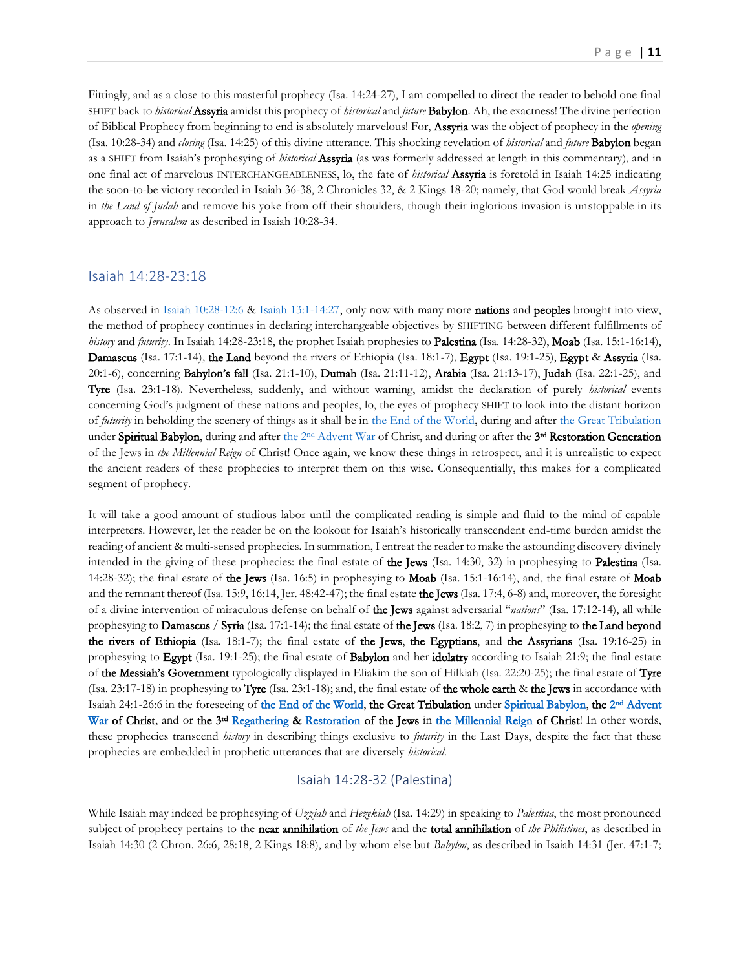Fittingly, and as a close to this masterful prophecy (Isa. 14:24-27), I am compelled to direct the reader to behold one final SHIFT back to *historical* Assyria amidst this prophecy of *historical* and *future* Babylon. Ah, the exactness! The divine perfection of Biblical Prophecy from beginning to end is absolutely marvelous! For, Assyria was the object of prophecy in the *opening* (Isa. 10:28-34) and *closing* (Isa. 14:25) of this divine utterance. This shocking revelation of *historical* and *future* Babylon began as a SHIFT from Isaiah's prophesying of *historical* Assyria (as was formerly addressed at length in this commentary), and in one final act of marvelous INTERCHANGEABLENESS, lo, the fate of *historical* Assyria is foretold in Isaiah 14:25 indicating the soon-to-be victory recorded in Isaiah 36-38, 2 Chronicles 32, & 2 Kings 18-20; namely, that God would break *Assyria* in *the Land of Judah* and remove his yoke from off their shoulders, though their inglorious invasion is unstoppable in its approach to *Jerusalem* as described in Isaiah 10:28-34.

#### <span id="page-10-0"></span>Isaiah 14:28-23:18

As observed in [Isaiah 10:28-12:6](#page-5-0) [& Isaiah 13:1-14:27,](#page-6-0) only now with many more nations and peoples brought into view, the method of prophecy continues in declaring interchangeable objectives by SHIFTING between different fulfillments of *history* and *futurity*. In Isaiah 14:28-23:18, the prophet Isaiah prophesies to Palestina (Isa. 14:28-32), Moab (Isa. 15:1-16:14), Damascus (Isa. 17:1-14), the Land beyond the rivers of Ethiopia (Isa. 18:1-7), Egypt (Isa. 19:1-25), Egypt & Assyria (Isa. 20:1-6), concerning Babylon's fall (Isa. 21:1-10), Dumah (Isa. 21:11-12), Arabia (Isa. 21:13-17), Judah (Isa. 22:1-25), and Tyre (Isa. 23:1-18). Nevertheless, suddenly, and without warning, amidst the declaration of purely *historical* events concerning God's judgment of these nations and peoples, lo, the eyes of prophecy SHIFT to look into the distant horizon of *futurity* in beholding the scenery of things as it shall be in [the End of the World,](http://www.putoffthyshoes.com/the-last-days/the-day-of-the-lord) during and after [the Great Tribulation](https://www.therevelationofjesuschrist.org/resources/70th-week-timeline) under Spiritual Babylon, during and after the 2<sup>nd</sup> [Advent War](https://www.therevelationofjesuschrist.org/books/a-commentary-on-the-book-of-revelation/revelation-11-15-19-14-6-16-21-18-1-20-6/the-shaking-7th-vial) of Christ, and during or after the 3<sup>rd</sup> Restoration Generation of the Jews in *the Millennial Reign* of Christ! Once again, we know these things in retrospect, and it is unrealistic to expect the ancient readers of these prophecies to interpret them on this wise. Consequentially, this makes for a complicated segment of prophecy.

It will take a good amount of studious labor until the complicated reading is simple and fluid to the mind of capable interpreters. However, let the reader be on the lookout for Isaiah's historically transcendent end-time burden amidst the reading of ancient & multi-sensed prophecies. In summation, I entreat the reader to make the astounding discovery divinely intended in the giving of these prophecies: the final estate of the Jews (Isa. 14:30, 32) in prophesying to Palestina (Isa. 14:28-32); the final estate of the Jews (Isa. 16:5) in prophesying to Moab (Isa. 15:1-16:14), and, the final estate of Moab and the remnant thereof (Isa. 15:9, 16:14, Jer. 48:42-47); the final estate the Jews (Isa. 17:4, 6-8) and, moreover, the foresight of a divine intervention of miraculous defense on behalf of the Jews against adversarial "*nations*" (Isa. 17:12-14), all while prophesying to **Damascus / Syria** (Isa. 17:1-14); the final estate of the Jews (Isa. 18:2, 7) in prophesying to the Land beyond the rivers of Ethiopia (Isa. 18:1-7); the final estate of the Jews, the Egyptians, and the Assyrians (Isa. 19:16-25) in prophesying to Egypt (Isa. 19:1-25); the final estate of Babylon and her idolatry according to Isaiah 21:9; the final estate of the Messiah's Government typologically displayed in Eliakim the son of Hilkiah (Isa. 22:20-25); the final estate of Tyre (Isa. 23:17-18) in prophesying to **Tyre** (Isa. 23:1-18); and, the final estate of **the whole earth** & **the Jews** in accordance with Isaiah 24:1-26:6 in the foreseeing o[f the End of the World,](http://www.putoffthyshoes.com/the-last-days/the-day-of-the-lord) the Great Tribulation under [Spiritual Babylon,](http://www.putoffthyshoes.com/the-last-days/babylon-the-coming-of-the-lord?fbclid=IwAR2N5lUYtSDzmODwL1wQx6MpP66E2CL9oyzsC8NrK3nLrzLsjaVTIO9wh7g) the 2<sup>nd</sup> Advent [War](https://www.therevelationofjesuschrist.org/books/a-commentary-on-the-book-of-revelation/revelation-11-15-19-14-6-16-21-18-1-20-6/the-armies-of-heaven-in-worldwide-battle) of Christ, and or the 3<sup>rd</sup> [Regathering](https://www.therevelationofjesuschrist.org/books/a-commentary-on-the-book-of-revelation/revelation-11-15-19-14-6-16-21-18-1-20-6/a-treacherous-journey-the-point-of-conversion) & [Restoration](https://www.therevelationofjesuschrist.org/books/a-commentary-on-the-book-of-revelation/revelation-11-15-19-14-6-16-21-18-1-20-6/light-to-the-gentiles-the-law-god-s-witnesses) of the Jews in [the Millennial Reign](https://www.therevelationofjesuschrist.org/books/a-commentary-on-the-book-of-revelation/revelation-11-15-19-14-6-16-21-18-1-20-6/day-1-335-the-triumphant-entry-of-christ-into-jerusalem) of Christ! In other words, these prophecies transcend *history* in describing things exclusive to *futurity* in the Last Days, despite the fact that these prophecies are embedded in prophetic utterances that are diversely *historical*.

## Isaiah 14:28-32 (Palestina)

<span id="page-10-1"></span>While Isaiah may indeed be prophesying of *Uzziah* and *Hezekiah* (Isa. 14:29) in speaking to *Palestina*, the most pronounced subject of prophecy pertains to the near annihilation of *the Jews* and the total annihilation of *the Philistines*, as described in Isaiah 14:30 (2 Chron. 26:6, 28:18, 2 Kings 18:8), and by whom else but *Babylon*, as described in Isaiah 14:31 (Jer. 47:1-7;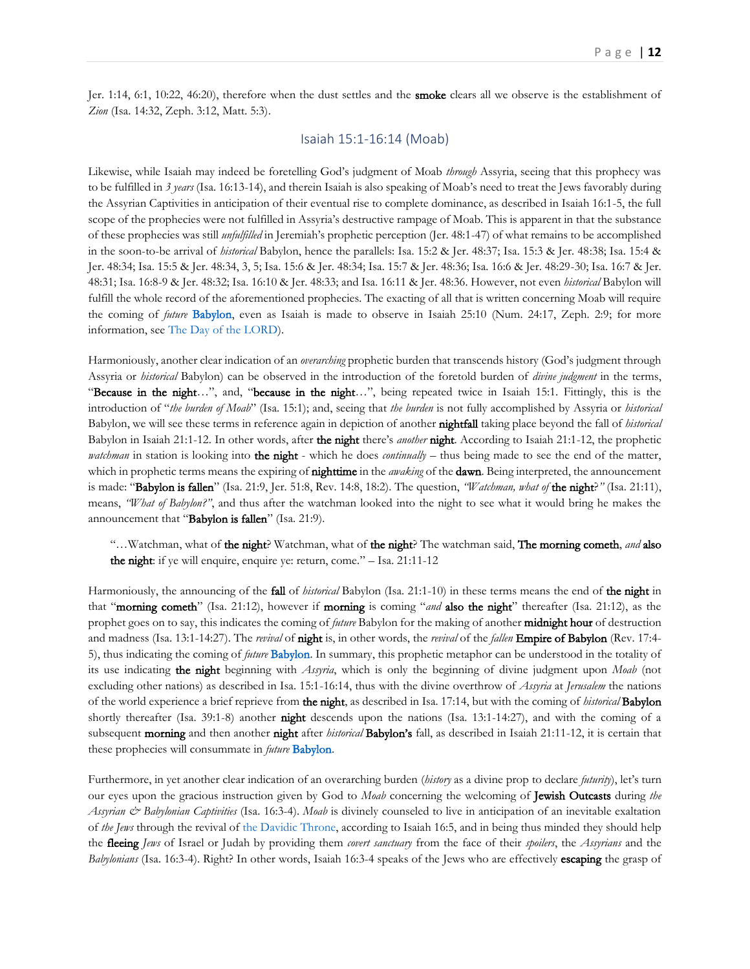Jer. 1:14, 6:1, 10:22, 46:20), therefore when the dust settles and the **smoke** clears all we observe is the establishment of *Zion* (Isa. 14:32, Zeph. 3:12, Matt. 5:3).

#### Isaiah 15:1-16:14 (Moab)

<span id="page-11-0"></span>Likewise, while Isaiah may indeed be foretelling God's judgment of Moab *through* Assyria, seeing that this prophecy was to be fulfilled in *3 years* (Isa. 16:13-14), and therein Isaiah is also speaking of Moab's need to treat the Jews favorably during the Assyrian Captivities in anticipation of their eventual rise to complete dominance, as described in Isaiah 16:1-5, the full scope of the prophecies were not fulfilled in Assyria's destructive rampage of Moab. This is apparent in that the substance of these prophecies was still *unfulfilled* in Jeremiah's prophetic perception (Jer. 48:1-47) of what remains to be accomplished in the soon-to-be arrival of *historical* Babylon, hence the parallels: Isa. 15:2 & Jer. 48:37; Isa. 15:3 & Jer. 48:38; Isa. 15:4 & Jer. 48:34; Isa. 15:5 & Jer. 48:34, 3, 5; Isa. 15:6 & Jer. 48:34; Isa. 15:7 & Jer. 48:36; Isa. 16:6 & Jer. 48:29-30; Isa. 16:7 & Jer. 48:31; Isa. 16:8-9 & Jer. 48:32; Isa. 16:10 & Jer. 48:33; and Isa. 16:11 & Jer. 48:36. However, not even *historical* Babylon will fulfill the whole record of the aforementioned prophecies. The exacting of all that is written concerning Moab will require the coming of *future* [Babylon,](http://www.putoffthyshoes.com/the-last-days/babylon-the-coming-of-the-lord?fbclid=IwAR2N5lUYtSDzmODwL1wQx6MpP66E2CL9oyzsC8NrK3nLrzLsjaVTIO9wh7g) even as Isaiah is made to observe in Isaiah 25:10 (Num. 24:17, Zeph. 2:9; for more information, see [The Day of the LORD\)](http://www.putoffthyshoes.com/the-last-days/the-day-of-the-lord).

Harmoniously, another clear indication of an *overarching* prophetic burden that transcends history (God's judgment through Assyria or *historical* Babylon) can be observed in the introduction of the foretold burden of *divine judgment* in the terms, "Because in the night...", and, "because in the night...", being repeated twice in Isaiah 15:1. Fittingly, this is the introduction of "*the burden of Moab*" (Isa. 15:1); and, seeing that *the burden* is not fully accomplished by Assyria or *historical* Babylon, we will see these terms in reference again in depiction of another nightfall taking place beyond the fall of *historical* Babylon in Isaiah 21:1-12. In other words, after the night there's *another* night. According to Isaiah 21:1-12, the prophetic *watchman* in station is looking into **the night** - which he does *continually* – thus being made to see the end of the matter, which in prophetic terms means the expiring of nighttime in the *awaking* of the dawn. Being interpreted, the announcement is made: "Babylon is fallen" (Isa. 21:9, Jer. 51:8, Rev. 14:8, 18:2). The question, *"Watchman, what of* the night?*"* (Isa. 21:11), means, *"What of Babylon?"*, and thus after the watchman looked into the night to see what it would bring he makes the announcement that "Babylon is fallen" (Isa. 21:9).

"…Watchman, what of the night? Watchman, what of the night? The watchman said, The morning cometh, *and* also the night: if ye will enquire, enquire ye: return, come." - Isa. 21:11-12

Harmoniously, the announcing of the fall of *historical* Babylon (Isa. 21:1-10) in these terms means the end of the night in that "morning cometh" (Isa. 21:12), however if morning is coming "*and* also the night" thereafter (Isa. 21:12), as the prophet goes on to say, this indicates the coming of *future* Babylon for the making of another midnight hour of destruction and madness (Isa. 13:1-14:27). The *revival* of night is, in other words, the *revival* of the *fallen* Empire of Babylon (Rev. 17:4- 5), thus indicating the coming of *future* [Babylon.](http://www.putoffthyshoes.com/the-last-days/babylon-the-coming-of-the-lord?fbclid=IwAR2N5lUYtSDzmODwL1wQx6MpP66E2CL9oyzsC8NrK3nLrzLsjaVTIO9wh7g) In summary, this prophetic metaphor can be understood in the totality of its use indicating the night beginning with *Assyria*, which is only the beginning of divine judgment upon *Moab* (not excluding other nations) as described in Isa. 15:1-16:14, thus with the divine overthrow of *Assyria* at *Jerusalem* the nations of the world experience a brief reprieve from the night, as described in Isa. 17:14, but with the coming of *historical* Babylon shortly thereafter (Isa. 39:1-8) another **night** descends upon the nations (Isa. 13:1-14:27), and with the coming of a subsequent morning and then another night after *historical* Babylon's fall, as described in Isaiah 21:11-12, it is certain that these prophecies will consummate in *future* [Babylon.](http://www.putoffthyshoes.com/the-last-days/babylon-the-coming-of-the-lord?fbclid=IwAR2N5lUYtSDzmODwL1wQx6MpP66E2CL9oyzsC8NrK3nLrzLsjaVTIO9wh7g)

Furthermore, in yet another clear indication of an overarching burden (*history* as a divine prop to declare *futurity*), let's turn our eyes upon the gracious instruction given by God to *Moab* concerning the welcoming of Jewish Outcasts during *the Assyrian & Babylonian Captivities* (Isa. 16:3-4). *Moab* is divinely counseled to live in anticipation of an inevitable exaltation of *the Jews* through the revival of [the Davidic Throne,](https://www.therevelationofjesuschrist.org/books/a-commentary-on-the-book-of-revelation/revelation-4-6/the-breaking-of-the-seals-of-the-book-explaining-vindicating-the-past#_The_Root_of) according to Isaiah 16:5, and in being thus minded they should help the fleeing *Jews* of Israel or Judah by providing them *covert sanctuary* from the face of their *spoilers*, the *Assyrians* and the *Babylonians* (Isa. 16:3-4). Right? In other words, Isaiah 16:3-4 speaks of the Jews who are effectively escaping the grasp of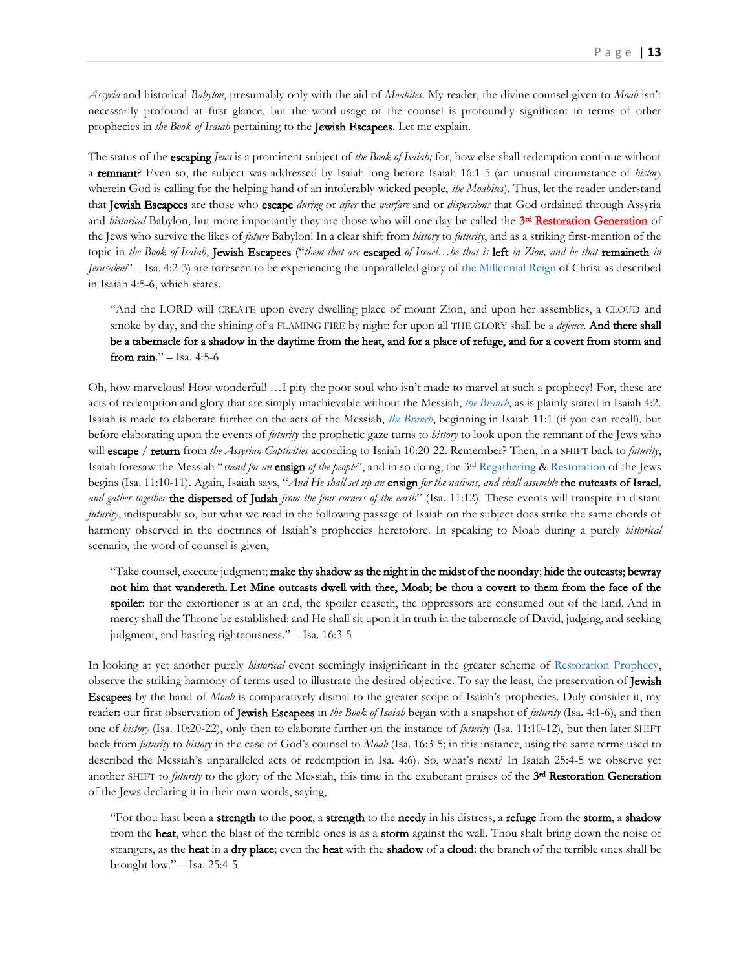*Assyria* and historical *Babylon*, presumably only with the aid of *Moabites*. My reader, the divine counsel given to *Moab* isn't necessarily profound at first glance, but the word-usage of the counsel is profoundly significant in terms of other prophecies in *the Book of Isaiah* pertaining to the Jewish Escapees. Let me explain.

The status of the escaping *Jews* is a prominent subject of *the Book of Isaiah;* for, how else shall redemption continue without a remnant? Even so, the subject was addressed by Isaiah long before Isaiah 16:1-5 (an unusual circumstance of *history* wherein God is calling for the helping hand of an intolerably wicked people, *the Moabites*). Thus, let the reader understand that Jewish Escapees are those who escape *during* or *after* the *warfare* and or *dispersions* that God ordained through Assyria and *historical* Babylon, but more importantly they are those who will one day be called the 3<sup>rd</sup> Restoration Generation of the Jews who survive the likes of *future* Babylon! In a clear shift from *history* to *futurity*, and as a striking first-mention of the topic in *the Book of Isaiah*, Jewish Escapees ("*them that are* escaped *of Israel…he that is* left *in Zion, and he that* remaineth *in Jerusalem*" – Isa. 4:2-3) are foreseen to be experiencing the unparalleled glory o[f the Millennial Reign](https://www.therevelationofjesuschrist.org/books/a-commentary-on-the-book-of-revelation/revelation-11-15-19-14-6-16-21-18-1-20-6/day-1-335-the-triumphant-entry-of-christ-into-jerusalem) of Christ as described in Isaiah 4:5-6, which states,

"And the LORD will CREATE upon every dwelling place of mount Zion, and upon her assemblies, a CLOUD and smoke by day, and the shining of a FLAMING FIRE by night: for upon all THE GLORY shall be a *defence*. And there shall be a tabernacle for a shadow in the daytime from the heat, and for a place of refuge, and for a covert from storm and from rain." – Isa. 4:5-6

Oh, how marvelous! How wonderful! …I pity the poor soul who isn't made to marvel at such a prophecy! For, these are acts of redemption and glory that are simply unachievable without the Messiah, *the [Branch](https://www.therevelationofjesuschrist.org/books/a-commentary-on-the-book-of-revelation/revelation-4-6/the-breaking-of-the-seals-of-the-book-explaining-vindicating-the-past#_The_Root_of)*, as is plainly stated in Isaiah 4:2. Isaiah is made to elaborate further on the acts of the Messiah, *[the Branch](https://www.therevelationofjesuschrist.org/books/a-commentary-on-the-book-of-revelation/revelation-4-6/the-breaking-of-the-seals-of-the-book-explaining-vindicating-the-past#_The_Root_of)*, beginning in Isaiah 11:1 (if you can recall), but before elaborating upon the events of *futurity* the prophetic gaze turns to *history* to look upon the remnant of the Jews who will escape / return from *the Assyrian Captivities* according to Isaiah 10:20-22. Remember? Then, in a SHIFT back to *futurity*, Isaiah foresaw the Messiah "*stand for an* ensign *of the people*", and in so doing, the 3rd [Regathering](https://www.therevelationofjesuschrist.org/books/a-commentary-on-the-book-of-revelation/revelation-11-15-19-14-6-16-21-18-1-20-6/a-treacherous-journey-the-point-of-conversion) [& Restoration](https://www.therevelationofjesuschrist.org/books/a-commentary-on-the-book-of-revelation/revelation-11-15-19-14-6-16-21-18-1-20-6/light-to-the-gentiles-the-law-god-s-witnesses) of the Jews begins (Isa. 11:10-11). Again, Isaiah says, "*And He shall set up an* ensign *for the nations, and shall assemble* the outcasts of Israel*, and gather together* the dispersed of Judah *from the four corners of the earth*" (Isa. 11:12). These events will transpire in distant *futurity*, indisputably so, but what we read in the following passage of Isaiah on the subject does strike the same chords of harmony observed in the doctrines of Isaiah's prophecies heretofore. In speaking to Moab during a purely *historical* scenario, the word of counsel is given,

"Take counsel, execute judgment; make thy shadow as the night in the midst of the noonday; hide the outcasts; bewray not him that wandereth. Let Mine outcasts dwell with thee, Moab; be thou a covert to them from the face of the spoiler: for the extortioner is at an end, the spoiler ceaseth, the oppressors are consumed out of the land. And in mercy shall the Throne be established: and He shall sit upon it in truth in the tabernacle of David, judging, and seeking judgment, and hasting righteousness." – Isa. 16:3-5

In looking at yet another purely *historical* event seemingly insignificant in the greater scheme of [Restoration Prophecy,](https://www.therevelationofjesuschrist.org/books/a-commentary-on-the-book-of-revelation/introduction/the-doctrine-of-the-last-days) observe the striking harmony of terms used to illustrate the desired objective. To say the least, the preservation of Jewish Escapees by the hand of *Moab* is comparatively dismal to the greater scope of Isaiah's prophecies. Duly consider it, my reader: our first observation of Jewish Escapees in *the Book of Isaiah* began with a snapshot of *futurity* (Isa. 4:1-6), and then one of *history* (Isa. 10:20-22), only then to elaborate further on the instance of *futurity* (Isa. 11:10-12), but then later SHIFT back from *futurity* to *history* in the case of God's counsel to *Moab* (Isa. 16:3-5; in this instance, using the same terms used to described the Messiah's unparalleled acts of redemption in Isa. 4:6). So, what's next? In Isaiah 25:4-5 we observe yet another SHIFT to *futurity* to the glory of the Messiah, this time in the exuberant praises of the 3<sup>rd</sup> Restoration Generation of the Jews declaring it in their own words, saying,

"For thou hast been a strength to the poor, a strength to the needy in his distress, a refuge from the storm, a shadow from the heat, when the blast of the terrible ones is as a storm against the wall. Thou shalt bring down the noise of strangers, as the **heat** in a dry place; even the heat with the shadow of a cloud: the branch of the terrible ones shall be brought low." – Isa. 25:4-5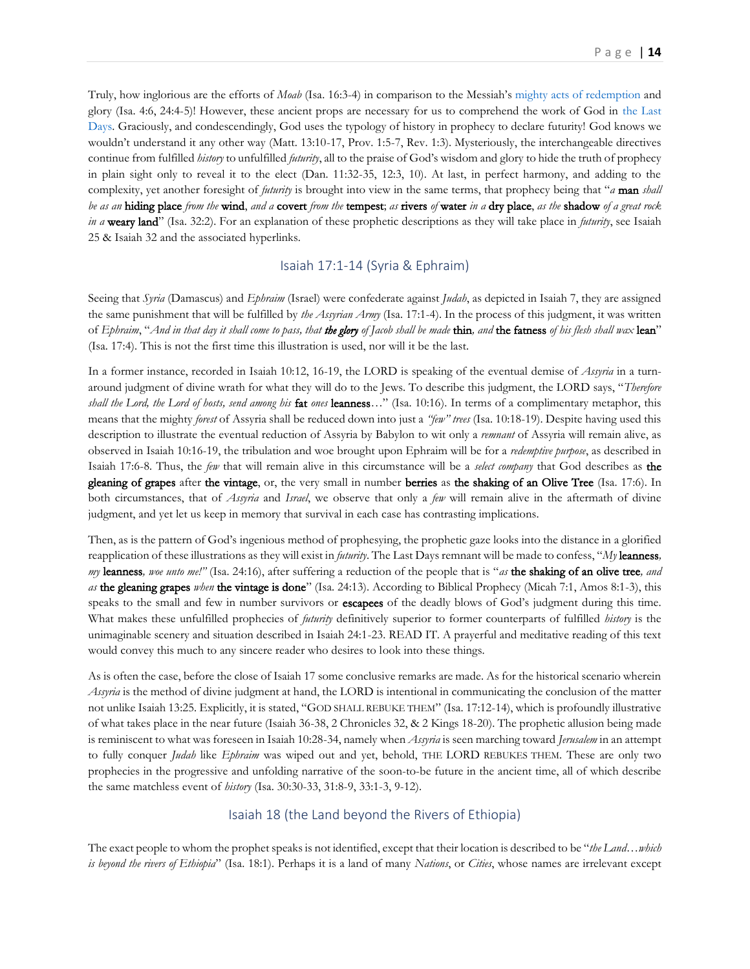Truly, how inglorious are the efforts of *Moab* (Isa. 16:3-4) in comparison to the Messiah's [mighty acts of redemption](https://www.therevelationofjesuschrist.org/books/a-commentary-on-the-book-of-revelation/revelation-11-15-19-14-6-16-21-18-1-20-6/proclamation-before-desolation-good-tidings-before-liberation) and glory (Isa. 4:6, 24:4-5)! However, these ancient props are necessary for us to comprehend the work of God in [the Last](https://www.therevelationofjesuschrist.org/books/a-commentary-on-the-book-of-revelation/introduction/the-doctrine-of-the-last-days)  [Days.](https://www.therevelationofjesuschrist.org/books/a-commentary-on-the-book-of-revelation/introduction/the-doctrine-of-the-last-days) Graciously, and condescendingly, God uses the typology of history in prophecy to declare futurity! God knows we wouldn't understand it any other way (Matt. 13:10-17, Prov. 1:5-7, Rev. 1:3). Mysteriously, the interchangeable directives continue from fulfilled *history* to unfulfilled *futurity*, all to the praise of God's wisdom and glory to hide the truth of prophecy in plain sight only to reveal it to the elect (Dan. 11:32-35, 12:3, 10). At last, in perfect harmony, and adding to the complexity, yet another foresight of *futurity* is brought into view in the same terms, that prophecy being that "*a* man *shall be as an* hiding place *from the* wind, *and a* covert *from the* tempest; *as* rivers *of* water *in a* dry place, *as the* shadow *of a great rock in a* weary land" (Isa. 32:2). For an explanation of these prophetic descriptions as they will take place in *futurity*, see Isaiah 25 & Isaiah 32 and the associated hyperlinks.

## Isaiah 17:1-14 (Syria & Ephraim)

<span id="page-13-0"></span>Seeing that *Syria* (Damascus) and *Ephraim* (Israel) were confederate against *Judah*, as depicted in Isaiah 7, they are assigned the same punishment that will be fulfilled by *the Assyrian Army* (Isa. 17:1-4). In the process of this judgment, it was written of *Ephraim*, "*And in that day it shall come to pass, that the glory of Jacob shall be made* thin*, and* the fatness *of his flesh shall wax* lean" (Isa. 17:4). This is not the first time this illustration is used, nor will it be the last.

In a former instance, recorded in Isaiah 10:12, 16-19, the LORD is speaking of the eventual demise of *Assyria* in a turnaround judgment of divine wrath for what they will do to the Jews. To describe this judgment, the LORD says, "*Therefore shall the Lord, the Lord of hosts, send among his* fat *ones* leanness*…*" (Isa. 10:16). In terms of a complimentary metaphor, this means that the mighty *forest* of Assyria shall be reduced down into just a *"few" trees* (Isa. 10:18-19). Despite having used this description to illustrate the eventual reduction of Assyria by Babylon to wit only a *remnant* of Assyria will remain alive, as observed in Isaiah 10:16-19, the tribulation and woe brought upon Ephraim will be for a *redemptive purpose*, as described in Isaiah 17:6-8. Thus, the *few* that will remain alive in this circumstance will be a *select company* that God describes as the gleaning of grapes after the vintage, or, the very small in number berries as the shaking of an Olive Tree (Isa. 17:6). In both circumstances, that of *Assyria* and *Israel*, we observe that only a *few* will remain alive in the aftermath of divine judgment, and yet let us keep in memory that survival in each case has contrasting implications.

Then, as is the pattern of God's ingenious method of prophesying, the prophetic gaze looks into the distance in a glorified reapplication of these illustrations as they will exist in *futurity*. The Last Days remnant will be made to confess, "*My* leanness*, my* leanness*, woe unto me!"* (Isa. 24:16), after suffering a reduction of the people that is "*as* the shaking of an olive tree*, and as* the gleaning grapes *when* the vintage is done" (Isa. 24:13). According to Biblical Prophecy (Micah 7:1, Amos 8:1-3), this speaks to the small and few in number survivors or **escapees** of the deadly blows of God's judgment during this time. What makes these unfulfilled prophecies of *futurity* definitively superior to former counterparts of fulfilled *history* is the unimaginable scenery and situation described in Isaiah 24:1-23. READ IT. A prayerful and meditative reading of this text would convey this much to any sincere reader who desires to look into these things.

As is often the case, before the close of Isaiah 17 some conclusive remarks are made. As for the historical scenario wherein *Assyria* is the method of divine judgment at hand, the LORD is intentional in communicating the conclusion of the matter not unlike Isaiah 13:25. Explicitly, it is stated, "GOD SHALL REBUKE THEM" (Isa. 17:12-14), which is profoundly illustrative of what takes place in the near future (Isaiah 36-38, 2 Chronicles 32, & 2 Kings 18-20). The prophetic allusion being made is reminiscent to what was foreseen in Isaiah 10:28-34, namely when *Assyria* is seen marching toward *Jerusalem* in an attempt to fully conquer *Judah* like *Ephraim* was wiped out and yet, behold, THE LORD REBUKES THEM. These are only two prophecies in the progressive and unfolding narrative of the soon-to-be future in the ancient time, all of which describe the same matchless event of *history* (Isa. 30:30-33, 31:8-9, 33:1-3, 9-12).

## Isaiah 18 (the Land beyond the Rivers of Ethiopia)

<span id="page-13-1"></span>The exact people to whom the prophet speaks is not identified, except that their location is described to be "*the Land…which is beyond the rivers of Ethiopia*" (Isa. 18:1). Perhaps it is a land of many *Nations*, or *Cities*, whose names are irrelevant except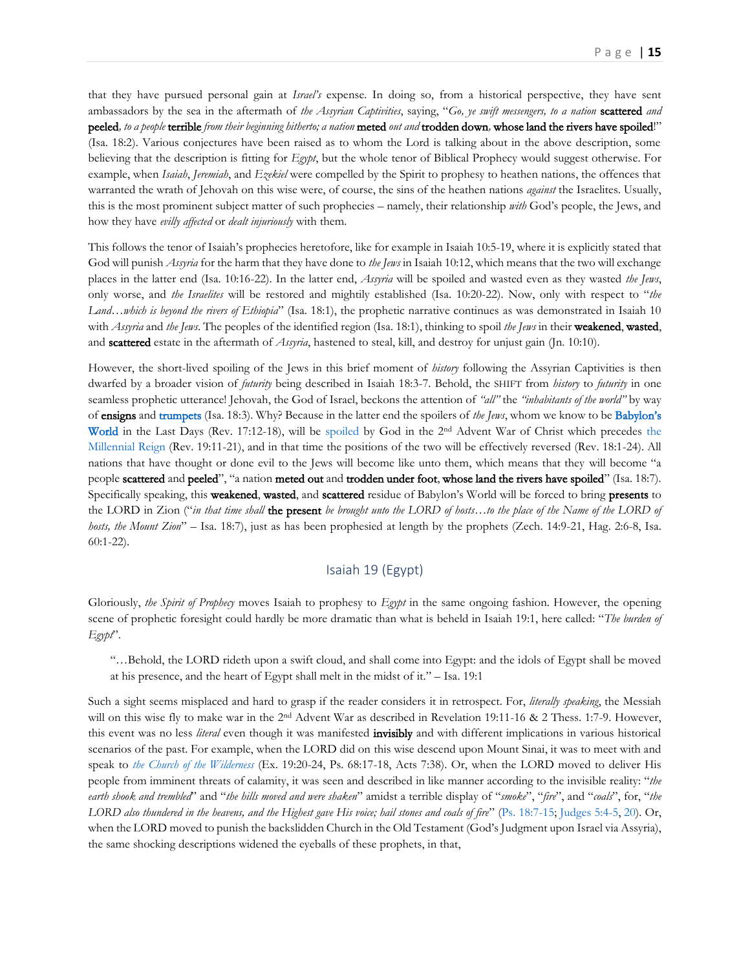that they have pursued personal gain at *Israel's* expense. In doing so, from a historical perspective, they have sent ambassadors by the sea in the aftermath of *the Assyrian Captivities*, saying, "*Go, ye swift messengers, to a nation* **scattered** and peeled*, to a people* terrible *from their beginning hitherto; a nation* meted *out and* trodden down*,* whose land the rivers have spoiled!" (Isa. 18:2). Various conjectures have been raised as to whom the Lord is talking about in the above description, some believing that the description is fitting for *Egypt*, but the whole tenor of Biblical Prophecy would suggest otherwise. For example, when *Isaiah*, *Jeremiah*, and *Ezekiel* were compelled by the Spirit to prophesy to heathen nations, the offences that warranted the wrath of Jehovah on this wise were, of course, the sins of the heathen nations *against* the Israelites. Usually, this is the most prominent subject matter of such prophecies – namely, their relationship *with* God's people, the Jews, and how they have *evilly affected* or *dealt injuriously* with them.

This follows the tenor of Isaiah's prophecies heretofore, like for example in Isaiah 10:5-19, where it is explicitly stated that God will punish *Assyria* for the harm that they have done to *the Jews* in Isaiah 10:12, which means that the two will exchange places in the latter end (Isa. 10:16-22). In the latter end, *Assyria* will be spoiled and wasted even as they wasted *the Jews*, only worse, and *the Israelites* will be restored and mightily established (Isa. 10:20-22). Now, only with respect to "*the Land…which is beyond the rivers of Ethiopia*" (Isa. 18:1), the prophetic narrative continues as was demonstrated in Isaiah 10 with *Assyria* and *the Jews*. The peoples of the identified region (Isa. 18:1), thinking to spoil *the Jews* in their weakened, wasted, and scattered estate in the aftermath of *Assyria*, hastened to steal, kill, and destroy for unjust gain (Jn. 10:10).

However, the short-lived spoiling of the Jews in this brief moment of *history* following the Assyrian Captivities is then dwarfed by a broader vision of *futurity* being described in Isaiah 18:3-7. Behold, the SHIFT from *history* to *futurity* in one seamless prophetic utterance! Jehovah, the God of Israel, beckons the attention of *"all"* the *"inhabitants of the world"* by way of ensigns an[d trumpets](https://www.therevelationofjesuschrist.org/books/a-commentary-on-the-book-of-revelation/revelation-11-15-19-14-6-16-21-18-1-20-6/7th-trumpet) (Isa. 18:3). Why? Because in the latter end the spoilers of *the Jews*, whom we know to be [Babylon's](https://www.therevelationofjesuschrist.org/books/a-commentary-on-the-book-of-revelation/revelation-11-15-19-14-6-16-21-18-1-20-6/heaven-besieging-earth-the-vials) [World](https://www.therevelationofjesuschrist.org/books/a-commentary-on-the-book-of-revelation/revelation-11-15-19-14-6-16-21-18-1-20-6/heaven-besieging-earth-the-vials) in the Last Days (Rev. 17:12-18), will be [spoiled](https://www.therevelationofjesuschrist.org/books/a-commentary-on-the-book-of-revelation/revelation-11-15-19-14-6-16-21-18-1-20-6/the-armies-of-heaven-in-worldwide-battle#_The_Spoils_of) by God in [the](https://www.therevelationofjesuschrist.org/books/a-commentary-on-the-book-of-revelation/revelation-11-15-19-14-6-16-21-18-1-20-6/day-1-335-the-triumphant-entry-of-christ-into-jerusalem) 2<sup>nd</sup> Advent War of Christ which precedes the [Millennial Reign](https://www.therevelationofjesuschrist.org/books/a-commentary-on-the-book-of-revelation/revelation-11-15-19-14-6-16-21-18-1-20-6/day-1-335-the-triumphant-entry-of-christ-into-jerusalem) (Rev. 19:11-21), and in that time the positions of the two will be effectively reversed (Rev. 18:1-24). All nations that have thought or done evil to the Jews will become like unto them, which means that they will become "a people scattered and peeled", "a nation meted out and trodden under foot, whose land the rivers have spoiled" (Isa. 18:7). Specifically speaking, this weakened, wasted, and scattered residue of Babylon's World will be forced to bring presents to the LORD in Zion ("*in that time shall* the present *be brought unto the LORD of hosts…to the place of the Name of the LORD of hosts, the Mount Zion*" – Isa. 18:7), just as has been prophesied at length by the prophets (Zech. 14:9-21, Hag. 2:6-8, Isa. 60:1-22).

#### Isaiah 19 (Egypt)

<span id="page-14-0"></span>Gloriously, *the Spirit of Prophecy* moves Isaiah to prophesy to *Egypt* in the same ongoing fashion. However, the opening scene of prophetic foresight could hardly be more dramatic than what is beheld in Isaiah 19:1, here called: "*The burden of Egypt*".

"…Behold, the LORD rideth upon a swift cloud, and shall come into Egypt: and the idols of Egypt shall be moved at his presence, and the heart of Egypt shall melt in the midst of it." – Isa. 19:1

Such a sight seems misplaced and hard to grasp if the reader considers it in retrospect. For, *literally speaking*, the Messiah will on this wise fly to make war in the 2<sup>nd</sup> Advent War as described in Revelation 19:11-16 & 2 Thess. 1:7-9. However, this event was no less *literal* even though it was manifested invisibly and with different implications in various historical scenarios of the past. For example, when the LORD did on this wise descend upon Mount Sinai, it was to meet with and speak to *[the Church of the Wilderness](http://thechurchrealized.com/volume-1/chapter-1/israels-seed-in-the-exodus-generation/)* (Ex. 19:20-24, Ps. 68:17-18, Acts 7:38). Or, when the LORD moved to deliver His people from imminent threats of calamity, it was seen and described in like manner according to the invisible reality: "*the earth shook and trembled*" and "*the hills moved and were shaken*" amidst a terrible display of "*smoke*", "*fire*", and "*coals*", for, "*the LORD also thundered in the heavens, and the Highest gave His voice; hail stones and coals of fire*" ([Ps. 18:7-15;](https://biblia.com/bible/kjv1900/Ps.%2018.7-15) [Judges 5:4-5,](https://biblia.com/bible/kjv1900/Judg%205.4-5) [20\)](https://biblia.com/bible/kjv1900/Judges%205.20). Or, when the LORD moved to punish the backslidden Church in the Old Testament (God's Judgment upon Israel via Assyria), the same shocking descriptions widened the eyeballs of these prophets, in that,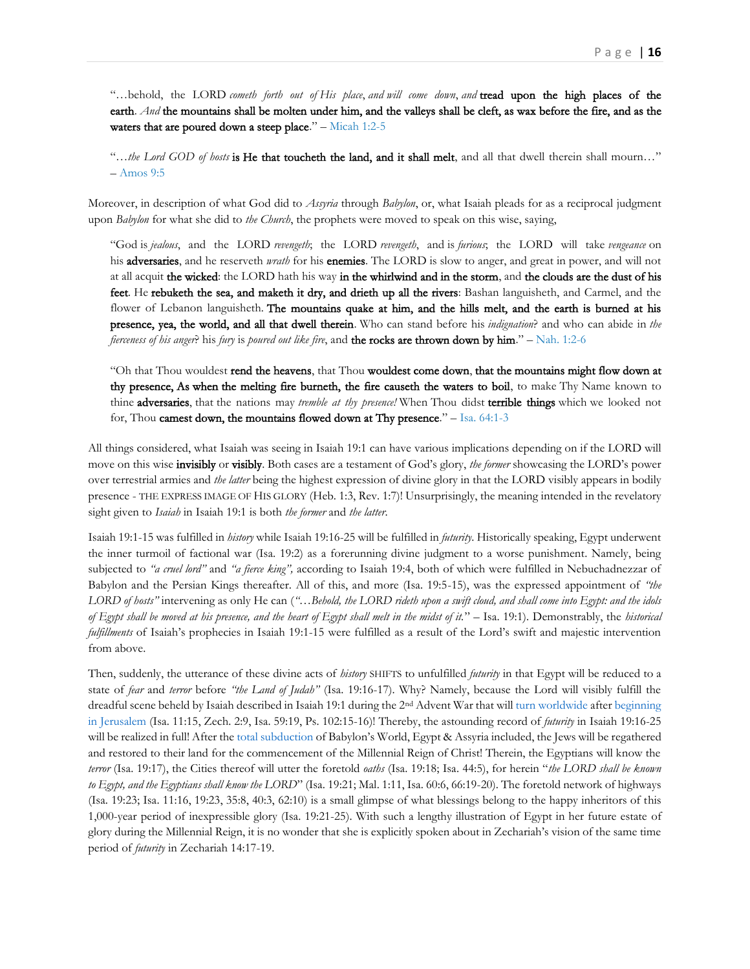"…behold, the LORD *cometh forth out of His place*, *and will come down*, *and* tread upon the high places of the earth. *And* the mountains shall be molten under him, and the valleys shall be cleft, as wax before the fire, and as the waters that are poured down a steep place."  $-$  [Micah 1:2-5](https://biblia.com/bible/kjv1900/Micah%201.2-5)

"…*the Lord GOD of hosts* is He that toucheth the land, and it shall melt, and all that dwell therein shall mourn…" – [Amos 9:5](https://biblia.com/bible/kjv1900/Amos%209.5)

Moreover, in description of what God did to *Assyria* through *Babylon*, or, what Isaiah pleads for as a reciprocal judgment upon *Babylon* for what she did to *the Church*, the prophets were moved to speak on this wise, saying,

"God is *jealous*, and the LORD *revengeth*; the LORD *revengeth*, and is *furious*; the LORD will take *vengeance* on his adversaries, and he reserveth *wrath* for his enemies. The LORD is slow to anger, and great in power, and will not at all acquit the wicked: the LORD hath his way in the whirlwind and in the storm, and the clouds are the dust of his feet. He rebuketh the sea, and maketh it dry, and drieth up all the rivers: Bashan languisheth, and Carmel, and the flower of Lebanon languisheth. The mountains quake at him, and the hills melt, and the earth is burned at his presence, yea, the world, and all that dwell therein. Who can stand before his *indignation*? and who can abide in *the fierceness of his anger*? his *fury* is *poured out like fire*, and the rocks are thrown down by him." – [Nah. 1:2-6](https://biblia.com/bible/kjv1900/Nah.%201.2-6)

"Oh that Thou wouldest rend the heavens, that Thou wouldest come down, that the mountains might flow down at thy presence, As when the melting fire burneth, the fire causeth the waters to boil, to make Thy Name known to thine adversaries, that the nations may *tremble at thy presence!* When Thou didst terrible things which we looked not for, Thou camest down, the mountains flowed down at Thy presence." – [Isa. 64:1-3](https://biblia.com/bible/kjv1900/Isa.%2064.1-3)

All things considered, what Isaiah was seeing in Isaiah 19:1 can have various implications depending on if the LORD will move on this wise invisibly or visibly. Both cases are a testament of God's glory, *the former* showcasing the LORD's power over terrestrial armies and *the latter* being the highest expression of divine glory in that the LORD visibly appears in bodily presence - THE EXPRESS IMAGE OF HIS GLORY (Heb. 1:3, Rev. 1:7)! Unsurprisingly, the meaning intended in the revelatory sight given to *Isaiah* in Isaiah 19:1 is both *the former* and *the latter*.

Isaiah 19:1-15 was fulfilled in *history* while Isaiah 19:16-25 will be fulfilled in *futurity*. Historically speaking, Egypt underwent the inner turmoil of factional war (Isa. 19:2) as a forerunning divine judgment to a worse punishment. Namely, being subjected to *"a cruel lord"* and *"a fierce king",* according to Isaiah 19:4, both of which were fulfilled in Nebuchadnezzar of Babylon and the Persian Kings thereafter. All of this, and more (Isa. 19:5-15), was the expressed appointment of *"the LORD of hosts"* intervening as only He can (*"…Behold, the LORD rideth upon a swift cloud, and shall come into Egypt: and the idols of Egypt shall be moved at his presence, and the heart of Egypt shall melt in the midst of it.*" – Isa. 19:1). Demonstrably, the *historical fulfillments* of Isaiah's prophecies in Isaiah 19:1-15 were fulfilled as a result of the Lord's swift and majestic intervention from above.

Then, suddenly, the utterance of these divine acts of *history* SHIFTS to unfulfilled *futurity* in that Egypt will be reduced to a state of *fear* and *terror* before *"the Land of Judah"* (Isa. 19:16-17). Why? Namely, because the Lord will visibly fulfill the dreadful scene beheld by Isaiah described in Isaiah 19:1 during the 2<sup>nd</sup> Advent War that wil[l turn worldwide](https://www.therevelationofjesuschrist.org/books/a-commentary-on-the-book-of-revelation/revelation-11-15-19-14-6-16-21-18-1-20-6/the-armies-of-heaven-in-worldwide-battle) after beginning [in Jerusalem](https://www.therevelationofjesuschrist.org/books/a-commentary-on-the-book-of-revelation/revelation-11-15-19-14-6-16-21-18-1-20-6/the-winepress) (Isa. 11:15, Zech. 2:9, Isa. 59:19, Ps. 102:15-16)! Thereby, the astounding record of *futurity* in Isaiah 19:16-25 will be realized in full! After th[e total subduction](https://www.therevelationofjesuschrist.org/books/a-commentary-on-the-book-of-revelation/revelation-11-15-19-14-6-16-21-18-1-20-6/day-1-290-the-defeat-of-the-antichrist-babylon) of Babylon's World, Egypt & Assyria included, the Jews will be regathered and restored to their land for the commencement of the Millennial Reign of Christ! Therein, the Egyptians will know the *terror* (Isa. 19:17), the Cities thereof will utter the foretold *oaths* (Isa. 19:18; Isa. 44:5), for herein "*the LORD shall be known to Egypt, and the Egyptians shall know the LORD*" (Isa. 19:21; Mal. 1:11, Isa. 60:6, 66:19-20). The foretold network of highways (Isa. 19:23; Isa. 11:16, 19:23, 35:8, 40:3, 62:10) is a small glimpse of what blessings belong to the happy inheritors of this 1,000-year period of inexpressible glory (Isa. 19:21-25). With such a lengthy illustration of Egypt in her future estate of glory during the Millennial Reign, it is no wonder that she is explicitly spoken about in Zechariah's vision of the same time period of *futurity* in Zechariah 14:17-19.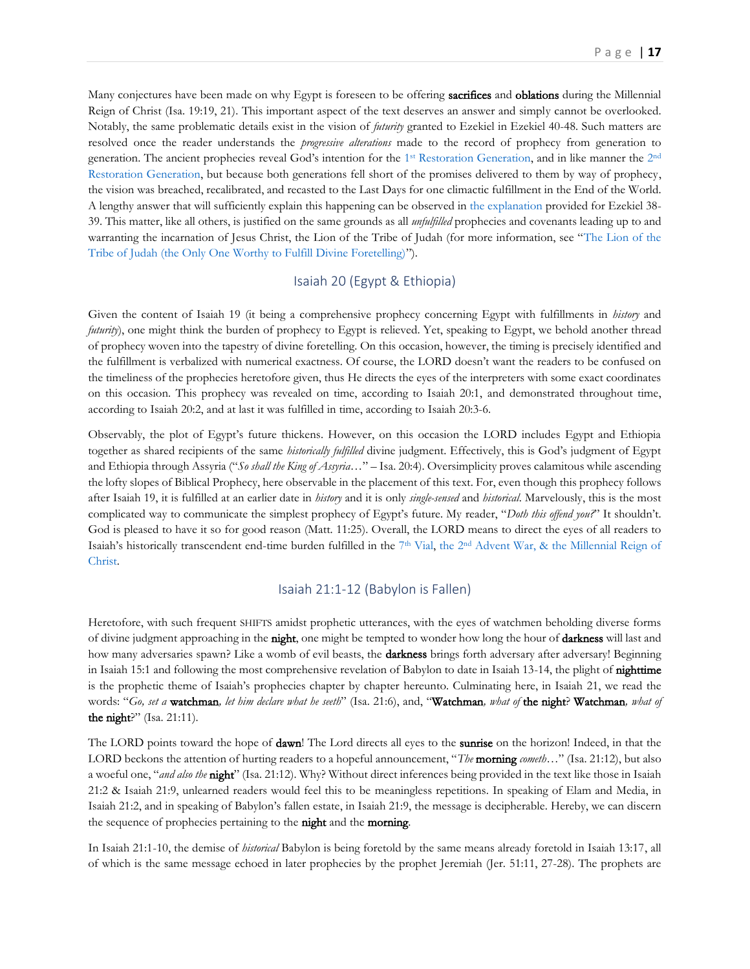Many conjectures have been made on why Egypt is foreseen to be offering **sacrifices** and **oblations** during the Millennial Reign of Christ (Isa. 19:19, 21). This important aspect of the text deserves an answer and simply cannot be overlooked. Notably, the same problematic details exist in the vision of *futurity* granted to Ezekiel in Ezekiel 40-48. Such matters are resolved once the reader understands the *progressive alterations* made to the record of prophecy from generation to generation. The ancient prophecies reveal God's intention for the 1<sup>st</sup> [Restoration Generation,](https://www.therevelationofjesuschrist.org/books/a-commentary-on-the-book-of-revelation/revelation-4-6/the-breaking-of-the-seals-of-the-book-explaining-vindicating-the-past#_The_1st_Restoration_1) and in like manner the [2](https://www.therevelationofjesuschrist.org/books/a-commentary-on-the-book-of-revelation/introduction/the-doctrine-of-the-last-days#_The_2nd_Restoration_1)<sup>nd</sup> [Restoration Generation,](https://www.therevelationofjesuschrist.org/books/a-commentary-on-the-book-of-revelation/introduction/the-doctrine-of-the-last-days#_The_2nd_Restoration_1) but because both generations fell short of the promises delivered to them by way of prophecy, the vision was breached, recalibrated, and recasted to the Last Days for one climactic fulfillment in the End of the World. A lengthy answer that will sufficiently explain this happening can be observed i[n the explanation](https://www.therevelationofjesuschrist.org/books/a-commentary-on-the-book-of-ezekiel/ezekiel-38-1-39-29) provided for Ezekiel 38- 39. This matter, like all others, is justified on the same grounds as all *unfulfilled* prophecies and covenants leading up to and warranting the incarnation of Jesus Christ, the Lion of the Tribe of Judah (for more information, see "[The Lion of the](https://www.therevelationofjesuschrist.org/books/a-commentary-on-the-book-of-revelation/revelation-4-6/the-breaking-of-the-seals-of-the-book-explaining-vindicating-the-past#_The_Lion_of)  [Tribe of Judah \(the Only One Worthy to Fulfill Divine Foretelling\)](https://www.therevelationofjesuschrist.org/books/a-commentary-on-the-book-of-revelation/revelation-4-6/the-breaking-of-the-seals-of-the-book-explaining-vindicating-the-past#_The_Lion_of)").

## Isaiah 20 (Egypt & Ethiopia)

<span id="page-16-0"></span>Given the content of Isaiah 19 (it being a comprehensive prophecy concerning Egypt with fulfillments in *history* and *futurity*), one might think the burden of prophecy to Egypt is relieved. Yet, speaking to Egypt, we behold another thread of prophecy woven into the tapestry of divine foretelling. On this occasion, however, the timing is precisely identified and the fulfillment is verbalized with numerical exactness. Of course, the LORD doesn't want the readers to be confused on the timeliness of the prophecies heretofore given, thus He directs the eyes of the interpreters with some exact coordinates on this occasion. This prophecy was revealed on time, according to Isaiah 20:1, and demonstrated throughout time, according to Isaiah 20:2, and at last it was fulfilled in time, according to Isaiah 20:3-6.

Observably, the plot of Egypt's future thickens. However, on this occasion the LORD includes Egypt and Ethiopia together as shared recipients of the same *historically fulfilled* divine judgment. Effectively, this is God's judgment of Egypt and Ethiopia through Assyria ("*So shall the King of Assyria…*" – Isa. 20:4). Oversimplicity proves calamitous while ascending the lofty slopes of Biblical Prophecy, here observable in the placement of this text. For, even though this prophecy follows after Isaiah 19, it is fulfilled at an earlier date in *history* and it is only *single-sensed* and *historical*. Marvelously, this is the most complicated way to communicate the simplest prophecy of Egypt's future. My reader, "*Doth this offend you?*" It shouldn't. God is pleased to have it so for good reason (Matt. 11:25). Overall, the LORD means to direct the eyes of all readers to Isaiah's historically transcendent end-time burden fulfilled in the 7<sup>th</sup> [Vial,](https://www.therevelationofjesuschrist.org/books/a-commentary-on-the-book-of-revelation/revelation-11-15-19-14-6-16-21-18-1-20-6/the-shaking-7th-vial) the 2<sup>nd</sup> Advent War, & the Millennial Reign of [Christ.](https://www.therevelationofjesuschrist.org/books/a-commentary-on-the-book-of-revelation/revelation-11-15-19-14-6-16-21-18-1-20-6/introducing-the-end-75-days-of-great-terrible-glory) 

#### Isaiah 21:1-12 (Babylon is Fallen)

<span id="page-16-1"></span>Heretofore, with such frequent SHIFTS amidst prophetic utterances, with the eyes of watchmen beholding diverse forms of divine judgment approaching in the night, one might be tempted to wonder how long the hour of darkness will last and how many adversaries spawn? Like a womb of evil beasts, the **darkness** brings forth adversary after adversary! Beginning in Isaiah 15:1 and following the most comprehensive revelation of Babylon to date in Isaiah 13-14, the plight of **nighttime** is the prophetic theme of Isaiah's prophecies chapter by chapter hereunto. Culminating here, in Isaiah 21, we read the words: "*Go, set a* watchman*, let him declare what he seeth*" (Isa. 21:6), and, "Watchman*, what of* the night? Watchman*, what of*  the night?" (Isa. 21:11).

The LORD points toward the hope of **dawn**! The Lord directs all eyes to the **sunrise** on the horizon! Indeed, in that the LORD beckons the attention of hurting readers to a hopeful announcement, "*The* morning *cometh*…" (Isa. 21:12), but also a woeful one, "*and also the* night" (Isa. 21:12). Why? Without direct inferences being provided in the text like those in Isaiah 21:2 & Isaiah 21:9, unlearned readers would feel this to be meaningless repetitions. In speaking of Elam and Media, in Isaiah 21:2, and in speaking of Babylon's fallen estate, in Isaiah 21:9, the message is decipherable. Hereby, we can discern the sequence of prophecies pertaining to the **night** and the **morning**.

In Isaiah 21:1-10, the demise of *historical* Babylon is being foretold by the same means already foretold in Isaiah 13:17, all of which is the same message echoed in later prophecies by the prophet Jeremiah (Jer. 51:11, 27-28). The prophets are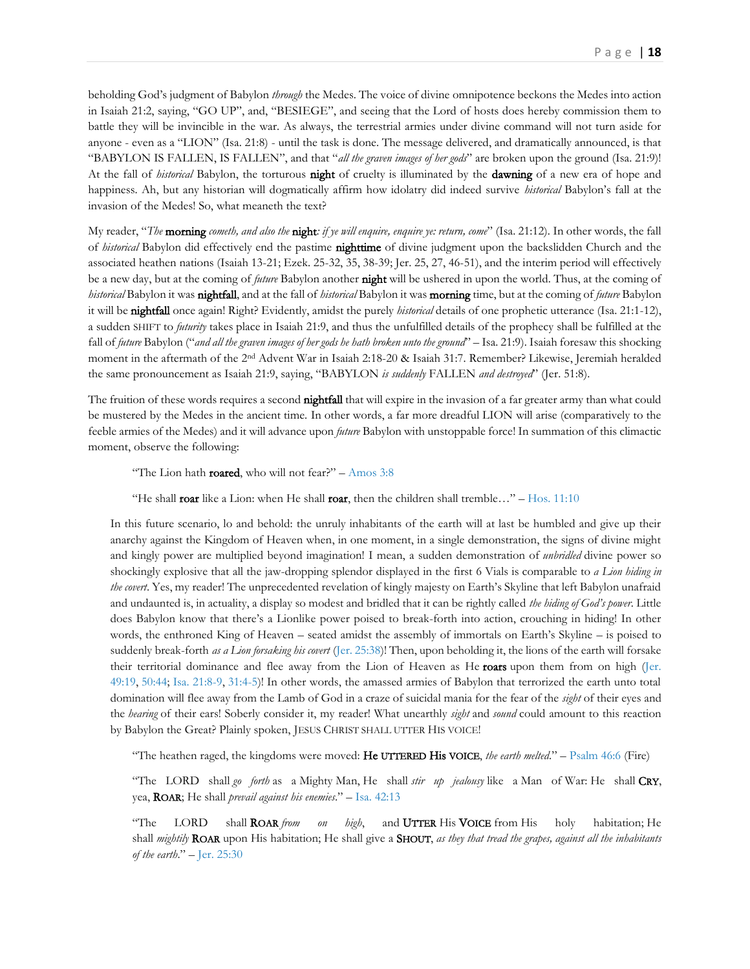beholding God's judgment of Babylon *through* the Medes. The voice of divine omnipotence beckons the Medes into action in Isaiah 21:2, saying, "GO UP", and, "BESIEGE", and seeing that the Lord of hosts does hereby commission them to battle they will be invincible in the war. As always, the terrestrial armies under divine command will not turn aside for anyone - even as a "LION" (Isa. 21:8) - until the task is done. The message delivered, and dramatically announced, is that "BABYLON IS FALLEN, IS FALLEN", and that "*all the graven images of her gods*" are broken upon the ground (Isa. 21:9)! At the fall of *historical* Babylon, the torturous night of cruelty is illuminated by the dawning of a new era of hope and happiness. Ah, but any historian will dogmatically affirm how idolatry did indeed survive *historical* Babylon's fall at the invasion of the Medes! So, what meaneth the text?

My reader, "*The* morning *cometh, and also the* night*: if ye will enquire, enquire ye: return, come*" (Isa. 21:12). In other words, the fall of *historical* Babylon did effectively end the pastime nighttime of divine judgment upon the backslidden Church and the associated heathen nations (Isaiah 13-21; Ezek. 25-32, 35, 38-39; Jer. 25, 27, 46-51), and the interim period will effectively be a new day, but at the coming of *future* Babylon another night will be ushered in upon the world. Thus, at the coming of *historical* Babylon it was nightfall, and at the fall of *historical* Babylon it was morning time, but at the coming of *future* Babylon it will be nightfall once again! Right? Evidently, amidst the purely *historical* details of one prophetic utterance (Isa. 21:1-12), a sudden SHIFT to *futurity* takes place in Isaiah 21:9, and thus the unfulfilled details of the prophecy shall be fulfilled at the fall of *future* Babylon ("*and all the graven images of her gods he hath broken unto the ground*" – Isa. 21:9). Isaiah foresaw this shocking moment in the aftermath of the 2<sup>nd</sup> Advent War in Isaiah 2:18-20 & Isaiah 31:7. Remember? Likewise, Jeremiah heralded the same pronouncement as Isaiah 21:9, saying, "BABYLON *is suddenly* FALLEN *and destroyed*" (Jer. 51:8).

The fruition of these words requires a second **nightfall** that will expire in the invasion of a far greater army than what could be mustered by the Medes in the ancient time. In other words, a far more dreadful LION will arise (comparatively to the feeble armies of the Medes) and it will advance upon *future* Babylon with unstoppable force! In summation of this climactic moment, observe the following:

"The Lion hath **roared**, who will not fear?" – Amos  $3:8$ 

"He shall roar like a Lion: when He shall roar, then the children shall tremble..." – Hos.  $11:10$ 

In this future scenario, lo and behold: the unruly inhabitants of the earth will at last be humbled and give up their anarchy against the Kingdom of Heaven when, in one moment, in a single demonstration, the signs of divine might and kingly power are multiplied beyond imagination! I mean, a sudden demonstration of *unbridled* divine power so shockingly explosive that all the jaw-dropping splendor displayed in the first 6 Vials is comparable to *a Lion hiding in the covert*. Yes, my reader! The unprecedented revelation of kingly majesty on Earth's Skyline that left Babylon unafraid and undaunted is, in actuality, a display so modest and bridled that it can be rightly called *the hiding of God's power*. Little does Babylon know that there's a Lionlike power poised to break-forth into action, crouching in hiding! In other words, the enthroned King of Heaven – seated amidst the assembly of immortals on Earth's Skyline – is poised to suddenly break-forth *as a Lion forsaking his covert* [\(Jer. 25:38\)](https://biblia.com/bible/kjv1900/Jer.%2025.38)! Then, upon beholding it, the lions of the earth will forsake their territorial dominance and flee away from the Lion of Heaven as He roars upon them from on high (Jer. [49:19,](https://biblia.com/bible/kjv1900/Jer.%2049.19) [50:44;](https://biblia.com/bible/kjv1900/Jer%2050.44) [Isa. 21:8-9,](https://biblia.com/bible/kjv1900/Isa.%2021.8-9) [31:4-5\)](https://biblia.com/bible/kjv1900/Isa%2031.4-5)! In other words, the amassed armies of Babylon that terrorized the earth unto total domination will flee away from the Lamb of God in a craze of suicidal mania for the fear of the *sight* of their eyes and the *hearing* of their ears! Soberly consider it, my reader! What unearthly *sight* and *sound* could amount to this reaction by Babylon the Great? Plainly spoken, JESUS CHRIST SHALL UTTER HIS VOICE!

"The heathen raged, the kingdoms were moved: He UTTERED His VOICE, *the earth melted*." – [Psalm 46:6](https://biblia.com/bible/kjv1900/Ps%2046.6) (Fire)

"The LORD shall *go forth* as a Mighty Man, He shall *stir up jealousy* like a Man of War: He shall CRY, yea, ROAR; He shall *prevail against his enemies*." – [Isa. 42:13](https://biblia.com/bible/kjv1900/Isa.%2042.13)

"The LORD shall ROAR *from on high*, and UTTER His VOICE from His holy habitation; He shall *mightily* ROAR upon His habitation; He shall give a SHOUT, *as they that tread the grapes, against all the inhabitants of the earth*." – [Jer. 25:30](https://biblia.com/bible/kjv1900/Jer.%2025.30)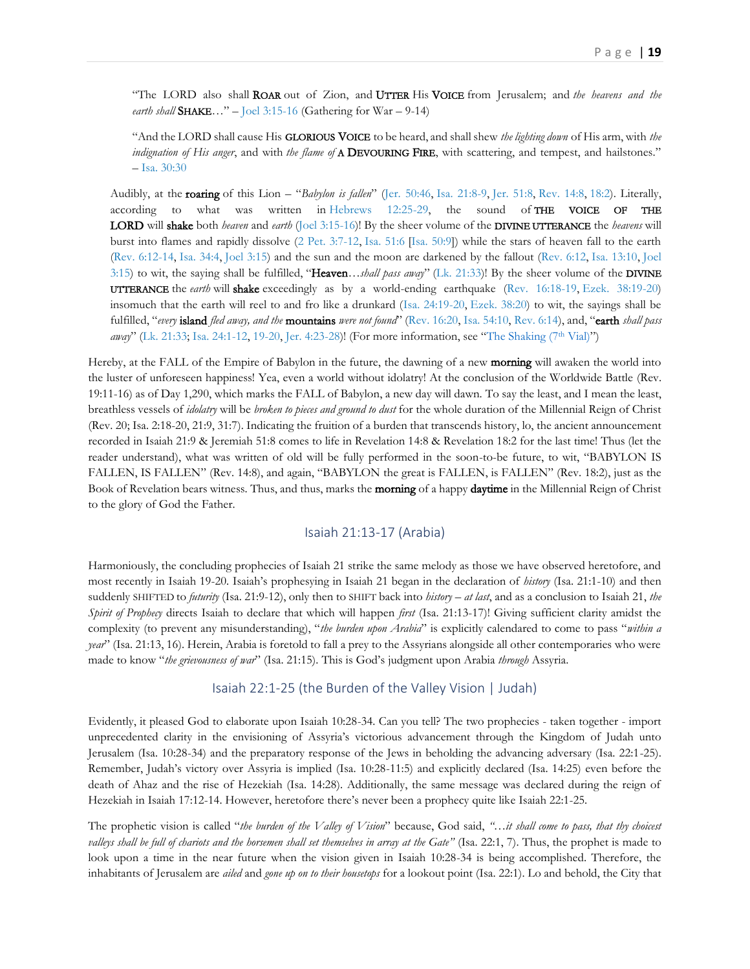"The LORD also shall ROAR out of Zion, and UTTER His VOICE from Jerusalem; and *the heavens and the earth shall* SHAKE…" – [Joel 3:15-16](https://biblia.com/bible/kjv1900/Joel%203.15-16) (Gathering for War – 9-14)

"And the LORD shall cause His GLORIOUS VOICE to be heard, and shall shew *the lighting down* of His arm, with *the indignation of His anger*, and with *the flame of* A DEVOURING FIRE, with scattering, and tempest, and hailstones." – [Isa. 30:30](https://biblia.com/bible/kjv1900/Isa.%2030.30)

Audibly, at the roaring of this Lion – "*Babylon is fallen*" ([Jer. 50:46,](https://biblia.com/bible/kjv1900/Jer.%2050.46) [Isa. 21:8-9,](https://biblia.com/bible/kjv1900/Isa.%2021.8-9) [Jer. 51:8,](https://biblia.com/bible/kjv1900/Jer.%2051.8) [Rev. 14:8,](https://biblia.com/bible/kjv1900/Rev.%2014.8) [18:2\)](https://biblia.com/bible/kjv1900/Rev%2018.2). Literally, according to what was written in [Hebrews 12:25-29,](https://biblia.com/bible/kjv1900/Heb%2012.25-29) the sound of THE VOICE OF THE LORD will shake both *heaven* and *earth* [\(Joel 3:15-16\)](https://biblia.com/bible/kjv1900/Joel%203.15-16)! By the sheer volume of the DIVINE UTTERANCE the *heavens* will burst into flames and rapidly dissolve [\(2 Pet. 3:7-12,](https://biblia.com/bible/kjv1900/2%20Pet.%203.7-12) [Isa. 51:6](https://biblia.com/bible/kjv1900/Isa.%2051.6) [\[Isa. 50:9\]](https://biblia.com/bible/kjv1900/Isa.%2050.9)) while the stars of heaven fall to the earth [\(Rev. 6:12-14,](https://biblia.com/bible/kjv1900/Rev.%206.12-14) [Isa. 34:4,](https://biblia.com/bible/kjv1900/Isa.%2034.4) [Joel 3:15\)](https://biblia.com/bible/kjv1900/Joel%203.15) and the sun and the moon are darkened by the fallout [\(Rev. 6:12,](https://biblia.com/bible/kjv1900/Rev.%206.12) [Isa. 13:10,](https://biblia.com/bible/kjv1900/Isa.%2013.10) [Joel](https://biblia.com/bible/kjv1900/Joel%203.15)  [3:15\)](https://biblia.com/bible/kjv1900/Joel%203.15) to wit, the saying shall be fulfilled, "Heaven*…shall pass away*" [\(Lk. 21:33\)](https://biblia.com/bible/kjv1900/Luke.%2021.33)! By the sheer volume of the DIVINE UTTERANCE the *earth* will shake exceedingly as by a world-ending earthquake [\(Rev. 16:18-19,](https://biblia.com/bible/kjv1900/Rev.%2016.18-19) [Ezek. 38:19-20\)](https://biblia.com/bible/kjv1900/Ezek.%2038.19-20) insomuch that the earth will reel to and fro like a drunkard [\(Isa. 24:19-20,](https://biblia.com/bible/kjv1900/Isa.%2024.19-20) [Ezek. 38:20\)](https://biblia.com/bible/kjv1900/Ezek.%2038.20) to wit, the sayings shall be fulfilled, "*every* island *fled away, and the* mountains *were not found*" ([Rev. 16:20,](https://biblia.com/bible/kjv1900/Rev.%2016.20) [Isa. 54:10,](https://biblia.com/bible/kjv1900/Isa.%2054.10) [Rev. 6:14\)](https://biblia.com/bible/kjv1900/Rev.%206.14), and, "earth *shall pass away*" ([Lk. 21:33;](https://biblia.com/bible/kjv1900/Luke.%2021.33) [Isa. 24:1-12,](https://biblia.com/bible/kjv1900/Isa.%2024.1-12) [19-20,](https://biblia.com/bible/kjv1900/Isa%2024.19-20) [Jer. 4:23-28\)](https://biblia.com/bible/kjv1900/Jer.%204.23-28)! (For more information, see "[The Shaking \(7](https://www.therevelationofjesuschrist.org/books/a-commentary-on-the-book-of-revelation/revelation-11-15-19-14-6-16-21-18-1-20-6/the-shaking-7th-vial)<sup>th</sup> Vial)")

Hereby, at the FALL of the Empire of Babylon in the future, the dawning of a new **morning** will awaken the world into the luster of unforeseen happiness! Yea, even a world without idolatry! At the conclusion of the Worldwide Battle (Rev. 19:11-16) as of Day 1,290, which marks the FALL of Babylon, a new day will dawn. To say the least, and I mean the least, breathless vessels of *idolatry* will be *broken to pieces and ground to dust* for the whole duration of the Millennial Reign of Christ (Rev. 20; Isa. 2:18-20, 21:9, 31:7). Indicating the fruition of a burden that transcends history, lo, the ancient announcement recorded in Isaiah 21:9 & Jeremiah 51:8 comes to life in Revelation 14:8 & Revelation 18:2 for the last time! Thus (let the reader understand), what was written of old will be fully performed in the soon-to-be future, to wit, "BABYLON IS FALLEN, IS FALLEN" (Rev. 14:8), and again, "BABYLON the great is FALLEN, is FALLEN" (Rev. 18:2), just as the Book of Revelation bears witness. Thus, and thus, marks the morning of a happy daytime in the Millennial Reign of Christ to the glory of God the Father.

#### Isaiah 21:13-17 (Arabia)

<span id="page-18-0"></span>Harmoniously, the concluding prophecies of Isaiah 21 strike the same melody as those we have observed heretofore, and most recently in Isaiah 19-20. Isaiah's prophesying in Isaiah 21 began in the declaration of *history* (Isa. 21:1-10) and then suddenly SHIFTED to *futurity* (Isa. 21:9-12), only then to SHIFT back into *history* – *at last*, and as a conclusion to Isaiah 21, *the Spirit of Prophecy* directs Isaiah to declare that which will happen *first* (Isa. 21:13-17)! Giving sufficient clarity amidst the complexity (to prevent any misunderstanding), "*the burden upon Arabia*" is explicitly calendared to come to pass "*within a year*" (Isa. 21:13, 16). Herein, Arabia is foretold to fall a prey to the Assyrians alongside all other contemporaries who were made to know "*the grievousness of war*" (Isa. 21:15). This is God's judgment upon Arabia *through* Assyria.

#### Isaiah 22:1-25 (the Burden of the Valley Vision | Judah)

<span id="page-18-1"></span>Evidently, it pleased God to elaborate upon Isaiah 10:28-34. Can you tell? The two prophecies - taken together - import unprecedented clarity in the envisioning of Assyria's victorious advancement through the Kingdom of Judah unto Jerusalem (Isa. 10:28-34) and the preparatory response of the Jews in beholding the advancing adversary (Isa. 22:1-25). Remember, Judah's victory over Assyria is implied (Isa. 10:28-11:5) and explicitly declared (Isa. 14:25) even before the death of Ahaz and the rise of Hezekiah (Isa. 14:28). Additionally, the same message was declared during the reign of Hezekiah in Isaiah 17:12-14. However, heretofore there's never been a prophecy quite like Isaiah 22:1-25.

The prophetic vision is called "*the burden of the Valley of Vision*" because, God said, *"…it shall come to pass, that thy choicest valleys shall be full of chariots and the horsemen shall set themselves in array at the Gate"* (Isa. 22:1, 7). Thus, the prophet is made to look upon a time in the near future when the vision given in Isaiah 10:28-34 is being accomplished. Therefore, the inhabitants of Jerusalem are *ailed* and *gone up on to their housetops* for a lookout point (Isa. 22:1). Lo and behold, the City that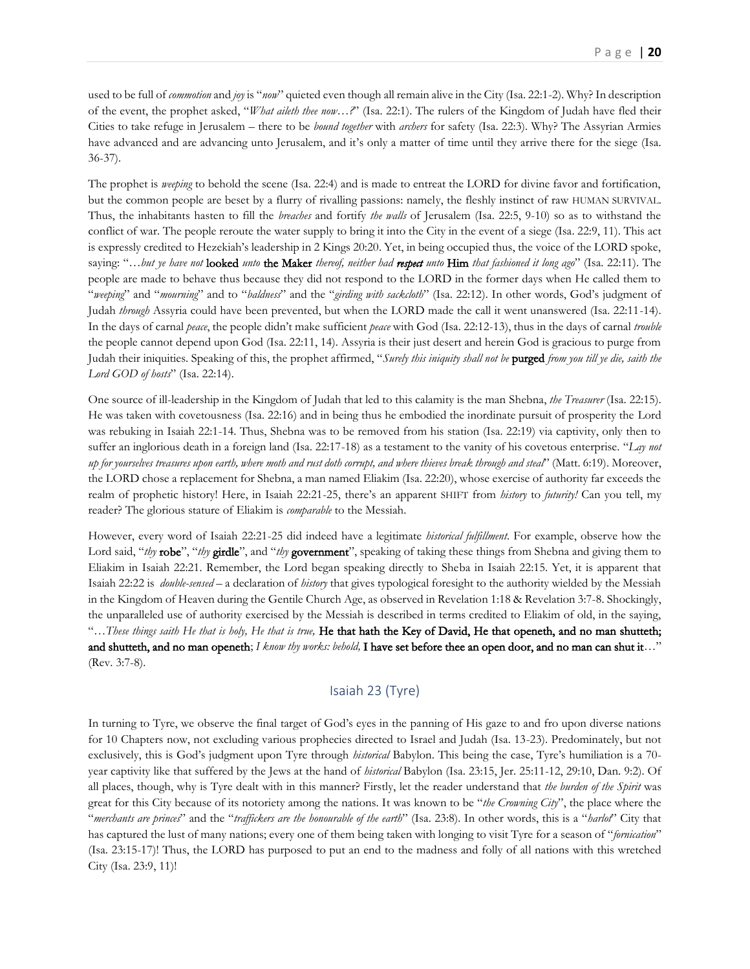used to be full of *commotion* and *joy* is "*now*" quieted even though all remain alive in the City (Isa. 22:1-2). Why? In description of the event, the prophet asked, "*What aileth thee now…?*" (Isa. 22:1). The rulers of the Kingdom of Judah have fled their Cities to take refuge in Jerusalem – there to be *bound together* with *archers* for safety (Isa. 22:3). Why? The Assyrian Armies have advanced and are advancing unto Jerusalem, and it's only a matter of time until they arrive there for the siege (Isa. 36-37).

The prophet is *weeping* to behold the scene (Isa. 22:4) and is made to entreat the LORD for divine favor and fortification, but the common people are beset by a flurry of rivalling passions: namely, the fleshly instinct of raw HUMAN SURVIVAL. Thus, the inhabitants hasten to fill the *breaches* and fortify *the walls* of Jerusalem (Isa. 22:5, 9-10) so as to withstand the conflict of war. The people reroute the water supply to bring it into the City in the event of a siege (Isa. 22:9, 11). This act is expressly credited to Hezekiah's leadership in 2 Kings 20:20. Yet, in being occupied thus, the voice of the LORD spoke, saying: "…*but ye have not* looked *unto* the Maker *thereof, neither had respect unto* Him *that fashioned it long ago*" (Isa. 22:11). The people are made to behave thus because they did not respond to the LORD in the former days when He called them to "*weeping*" and "*mourning*" and to "*baldness*" and the "*girding with sackcloth*" (Isa. 22:12). In other words, God's judgment of Judah *through* Assyria could have been prevented, but when the LORD made the call it went unanswered (Isa. 22:11-14). In the days of carnal *peace*, the people didn't make sufficient *peace* with God (Isa. 22:12-13), thus in the days of carnal *trouble* the people cannot depend upon God (Isa. 22:11, 14). Assyria is their just desert and herein God is gracious to purge from Judah their iniquities. Speaking of this, the prophet affirmed, "*Surely this iniquity shall not be* purged *from you till ye die, saith the Lord GOD of hosts*" (Isa. 22:14).

One source of ill-leadership in the Kingdom of Judah that led to this calamity is the man Shebna, *the Treasurer* (Isa. 22:15). He was taken with covetousness (Isa. 22:16) and in being thus he embodied the inordinate pursuit of prosperity the Lord was rebuking in Isaiah 22:1-14. Thus, Shebna was to be removed from his station (Isa. 22:19) via captivity, only then to suffer an inglorious death in a foreign land (Isa. 22:17-18) as a testament to the vanity of his covetous enterprise. "*Lay not up for yourselves treasures upon earth, where moth and rust doth corrupt, and where thieves break through and steal*" (Matt. 6:19). Moreover, the LORD chose a replacement for Shebna, a man named Eliakim (Isa. 22:20), whose exercise of authority far exceeds the realm of prophetic history! Here, in Isaiah 22:21-25, there's an apparent SHIFT from *history* to *futurity!* Can you tell, my reader? The glorious stature of Eliakim is *comparable* to the Messiah.

However, every word of Isaiah 22:21-25 did indeed have a legitimate *historical fulfillment*. For example, observe how the Lord said, "*thy* robe", "*thy* girdle", and "*thy* government", speaking of taking these things from Shebna and giving them to Eliakim in Isaiah 22:21. Remember, the Lord began speaking directly to Sheba in Isaiah 22:15. Yet, it is apparent that Isaiah 22:22 is *double-sensed* – a declaration of *history* that gives typological foresight to the authority wielded by the Messiah in the Kingdom of Heaven during the Gentile Church Age, as observed in Revelation 1:18 & Revelation 3:7-8. Shockingly, the unparalleled use of authority exercised by the Messiah is described in terms credited to Eliakim of old, in the saying, "…*These things saith He that is holy, He that is true,* He that hath the Key of David, He that openeth, and no man shutteth; and shutteth, and no man openeth; *I know thy works: behold,* I have set before thee an open door, and no man can shut it*…*" (Rev. 3:7-8).

#### Isaiah 23 (Tyre)

<span id="page-19-0"></span>In turning to Tyre, we observe the final target of God's eyes in the panning of His gaze to and fro upon diverse nations for 10 Chapters now, not excluding various prophecies directed to Israel and Judah (Isa. 13-23). Predominately, but not exclusively, this is God's judgment upon Tyre through *historical* Babylon. This being the case, Tyre's humiliation is a 70 year captivity like that suffered by the Jews at the hand of *historical* Babylon (Isa. 23:15, Jer. 25:11-12, 29:10, Dan. 9:2). Of all places, though, why is Tyre dealt with in this manner? Firstly, let the reader understand that *the burden of the Spirit* was great for this City because of its notoriety among the nations. It was known to be "*the Crowning City*", the place where the "*merchants are princes*" and the "*traffickers are the honourable of the earth*" (Isa. 23:8). In other words, this is a "*harlot*" City that has captured the lust of many nations; every one of them being taken with longing to visit Tyre for a season of "*fornication*" (Isa. 23:15-17)! Thus, the LORD has purposed to put an end to the madness and folly of all nations with this wretched City (Isa. 23:9, 11)!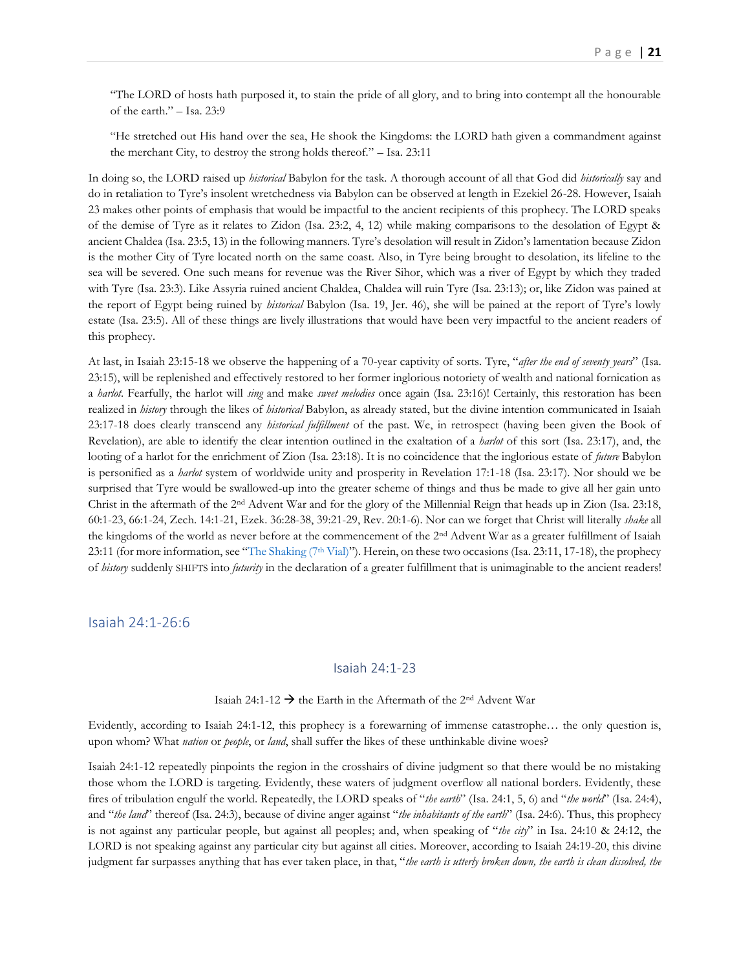"The LORD of hosts hath purposed it, to stain the pride of all glory, and to bring into contempt all the honourable of the earth." – Isa. 23:9

"He stretched out His hand over the sea, He shook the Kingdoms: the LORD hath given a commandment against the merchant City, to destroy the strong holds thereof." – Isa. 23:11

In doing so, the LORD raised up *historical* Babylon for the task. A thorough account of all that God did *historically* say and do in retaliation to Tyre's insolent wretchedness via Babylon can be observed at length in Ezekiel 26-28. However, Isaiah 23 makes other points of emphasis that would be impactful to the ancient recipients of this prophecy. The LORD speaks of the demise of Tyre as it relates to Zidon (Isa. 23:2, 4, 12) while making comparisons to the desolation of Egypt & ancient Chaldea (Isa. 23:5, 13) in the following manners. Tyre's desolation will result in Zidon's lamentation because Zidon is the mother City of Tyre located north on the same coast. Also, in Tyre being brought to desolation, its lifeline to the sea will be severed. One such means for revenue was the River Sihor, which was a river of Egypt by which they traded with Tyre (Isa. 23:3). Like Assyria ruined ancient Chaldea, Chaldea will ruin Tyre (Isa. 23:13); or, like Zidon was pained at the report of Egypt being ruined by *historical* Babylon (Isa. 19, Jer. 46), she will be pained at the report of Tyre's lowly estate (Isa. 23:5). All of these things are lively illustrations that would have been very impactful to the ancient readers of this prophecy.

At last, in Isaiah 23:15-18 we observe the happening of a 70-year captivity of sorts. Tyre, "*after the end of seventy years*" (Isa. 23:15), will be replenished and effectively restored to her former inglorious notoriety of wealth and national fornication as a *harlot*. Fearfully, the harlot will *sing* and make *sweet melodies* once again (Isa. 23:16)! Certainly, this restoration has been realized in *history* through the likes of *historical* Babylon, as already stated, but the divine intention communicated in Isaiah 23:17-18 does clearly transcend any *historical fulfillment* of the past. We, in retrospect (having been given the Book of Revelation), are able to identify the clear intention outlined in the exaltation of a *harlot* of this sort (Isa. 23:17), and, the looting of a harlot for the enrichment of Zion (Isa. 23:18). It is no coincidence that the inglorious estate of *future* Babylon is personified as a *harlot* system of worldwide unity and prosperity in Revelation 17:1-18 (Isa. 23:17). Nor should we be surprised that Tyre would be swallowed-up into the greater scheme of things and thus be made to give all her gain unto Christ in the aftermath of the 2nd Advent War and for the glory of the Millennial Reign that heads up in Zion (Isa. 23:18, 60:1-23, 66:1-24, Zech. 14:1-21, Ezek. 36:28-38, 39:21-29, Rev. 20:1-6). Nor can we forget that Christ will literally *shake* all the kingdoms of the world as never before at the commencement of the 2<sup>nd</sup> Advent War as a greater fulfillment of Isaiah 23:11 (for more information, see "The Shaking  $(7<sup>th</sup>$  Vial)"). Herein, on these two occasions (Isa. 23:11, 17-18), the prophecy of *history* suddenly SHIFTS into *futurity* in the declaration of a greater fulfillment that is unimaginable to the ancient readers!

<span id="page-20-1"></span><span id="page-20-0"></span>Isaiah 24:1-26:6

#### Isaiah 24:1-23

#### Isaiah 24:1-12  $\rightarrow$  the Earth in the Aftermath of the 2<sup>nd</sup> Advent War

Evidently, according to Isaiah 24:1-12, this prophecy is a forewarning of immense catastrophe… the only question is, upon whom? What *nation* or *people*, or *land*, shall suffer the likes of these unthinkable divine woes?

Isaiah 24:1-12 repeatedly pinpoints the region in the crosshairs of divine judgment so that there would be no mistaking those whom the LORD is targeting. Evidently, these waters of judgment overflow all national borders. Evidently, these fires of tribulation engulf the world. Repeatedly, the LORD speaks of "*the earth*" (Isa. 24:1, 5, 6) and "*the world*" (Isa. 24:4), and "*the land*" thereof (Isa. 24:3), because of divine anger against "*the inhabitants of the earth*" (Isa. 24:6). Thus, this prophecy is not against any particular people, but against all peoples; and, when speaking of "*the city*" in Isa. 24:10 & 24:12, the LORD is not speaking against any particular city but against all cities. Moreover, according to Isaiah 24:19-20, this divine judgment far surpasses anything that has ever taken place, in that, "*the earth is utterly broken down, the earth is clean dissolved, the*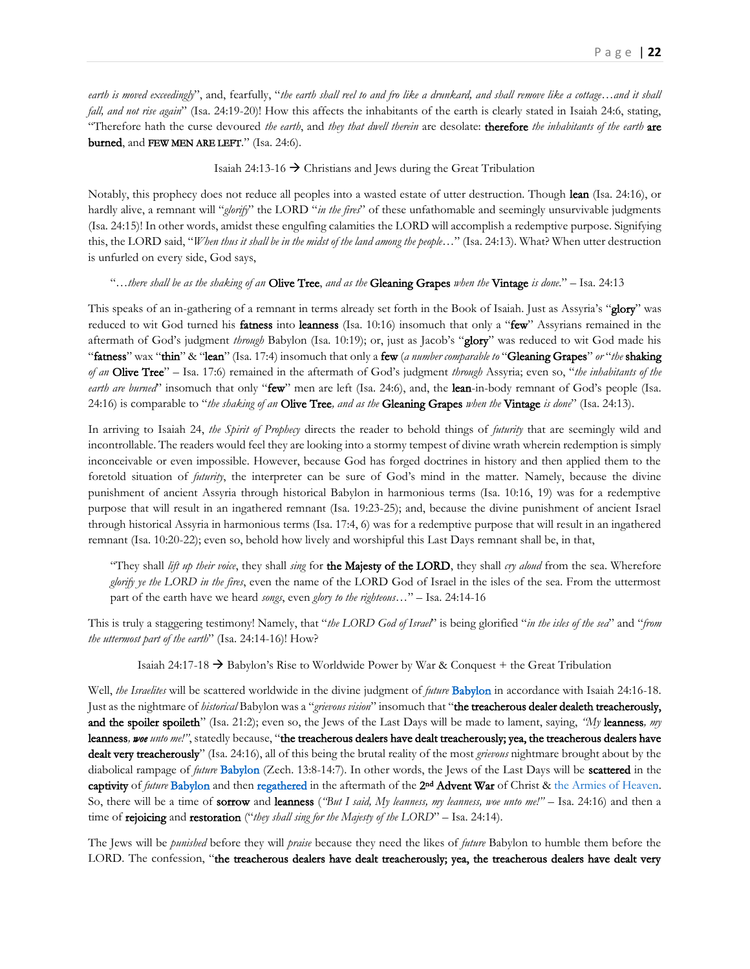*earth is moved exceedingly*", and, fearfully, "*the earth shall reel to and fro like a drunkard, and shall remove like a cottage…and it shall fall, and not rise again*" (Isa. 24:19-20)! How this affects the inhabitants of the earth is clearly stated in Isaiah 24:6, stating, "Therefore hath the curse devoured *the earth*, and *they that dwell therein* are desolate: therefore *the inhabitants of the earth* are burned, and FEW MEN ARE LEFT." (Isa. 24:6).

#### Isaiah 24:13-16 → Christians and Jews during the Great Tribulation

Notably, this prophecy does not reduce all peoples into a wasted estate of utter destruction. Though lean (Isa. 24:16), or hardly alive, a remnant will "*glorify*" the LORD "*in the fires*" of these unfathomable and seemingly unsurvivable judgments (Isa. 24:15)! In other words, amidst these engulfing calamities the LORD will accomplish a redemptive purpose. Signifying this, the LORD said, "*When thus it shall be in the midst of the land among the people…*" (Isa. 24:13). What? When utter destruction is unfurled on every side, God says,

#### "…*there shall be as the shaking of an* Olive Tree, *and as the* Gleaning Grapes *when the* Vintage *is done*." – Isa. 24:13

This speaks of an in-gathering of a remnant in terms already set forth in the Book of Isaiah. Just as Assyria's "glory" was reduced to wit God turned his **fatness** into **leanness** (Isa. 10:16) insomuch that only a "**few**" Assyrians remained in the aftermath of God's judgment *through* Babylon (Isa. 10:19); or, just as Jacob's "glory" was reduced to wit God made his "fatness" wax "thin" & "lean" (Isa. 17:4) insomuch that only a few (*a number comparable to* "Gleaning Grapes" *or* "*the* shaking *of an* Olive Tree" – Isa. 17:6) remained in the aftermath of God's judgment *through* Assyria; even so, "*the inhabitants of the earth are burned*" insomuch that only "**few**" men are left (Isa. 24:6), and, the **lean**-in-body remnant of God's people (Isa. 24:16) is comparable to "*the shaking of an* Olive Tree*, and as the* Gleaning Grapes *when the* Vintage *is done*" (Isa. 24:13).

In arriving to Isaiah 24, *the Spirit of Prophecy* directs the reader to behold things of *futurity* that are seemingly wild and incontrollable. The readers would feel they are looking into a stormy tempest of divine wrath wherein redemption is simply inconceivable or even impossible. However, because God has forged doctrines in history and then applied them to the foretold situation of *futurity*, the interpreter can be sure of God's mind in the matter. Namely, because the divine punishment of ancient Assyria through historical Babylon in harmonious terms (Isa. 10:16, 19) was for a redemptive purpose that will result in an ingathered remnant (Isa. 19:23-25); and, because the divine punishment of ancient Israel through historical Assyria in harmonious terms (Isa. 17:4, 6) was for a redemptive purpose that will result in an ingathered remnant (Isa. 10:20-22); even so, behold how lively and worshipful this Last Days remnant shall be, in that,

"They shall *lift up their voice*, they shall *sing* for the Majesty of the LORD, they shall *cry aloud* from the sea. Wherefore *glorify ye the LORD in the fires*, even the name of the LORD God of Israel in the isles of the sea. From the uttermost part of the earth have we heard *songs*, even *glory to the righteous*…" – Isa. 24:14-16

This is truly a staggering testimony! Namely, that "*the LORD God of Israel*" is being glorified "*in the isles of the sea*" and "*from the uttermost part of the earth*" (Isa. 24:14-16)! How?

Isaiah 24:17-18  $\rightarrow$  Babylon's Rise to Worldwide Power by War & Conquest + the Great Tribulation

Well, *the Israelites* will be scattered worldwide in the divine judgment of *future* [Babylon](http://www.putoffthyshoes.com/the-last-days/the-day-of-the-lord) in accordance with Isaiah 24:16-18. Just as the nightmare of *historical* Babylon was a "*grievous vision*" insomuch that "the treacherous dealer dealeth treacherously, and the spoiler spoileth" (Isa. 21:2); even so, the Jews of the Last Days will be made to lament, saying, *"My* leanness*, my*  leanness*, woe unto me!"*, statedly because, "the treacherous dealers have dealt treacherously; yea, the treacherous dealers have dealt very treacherously" (Isa. 24:16), all of this being the brutal reality of the most *grievous* nightmare brought about by the diabolical rampage of *future* [Babylon](http://www.putoffthyshoes.com/the-last-days/the-day-of-the-lord) (Zech. 13:8-14:7). In other words, the Jews of the Last Days will be scattered in the captivity of *future* [Babylon](http://www.putoffthyshoes.com/the-last-days/the-day-of-the-lord) and then [regathered](https://www.therevelationofjesuschrist.org/books/a-commentary-on-the-book-of-revelation/revelation-11-15-19-14-6-16-21-18-1-20-6/a-treacherous-journey-the-point-of-conversion) in the aftermath of the 2<sup>nd</sup> Advent War of Christ & [the Armies of Heaven.](https://www.therevelationofjesuschrist.org/books/a-commentary-on-the-book-of-revelation/revelation-11-15-19-14-6-16-21-18-1-20-6/the-armies-of-heaven-in-worldwide-battle) So, there will be a time of **sorrow** and leanness (*"But I said, My leanness, my leanness, woe unto me!" –* Isa. 24:16) and then a time of **rejoicing** and **restoration** ("*they shall sing for the Majesty of the LORD*" – Isa. 24:14).

The Jews will be *punished* before they will *praise* because they need the likes of *future* Babylon to humble them before the LORD. The confession, "the treacherous dealers have dealt treacherously; yea, the treacherous dealers have dealt very